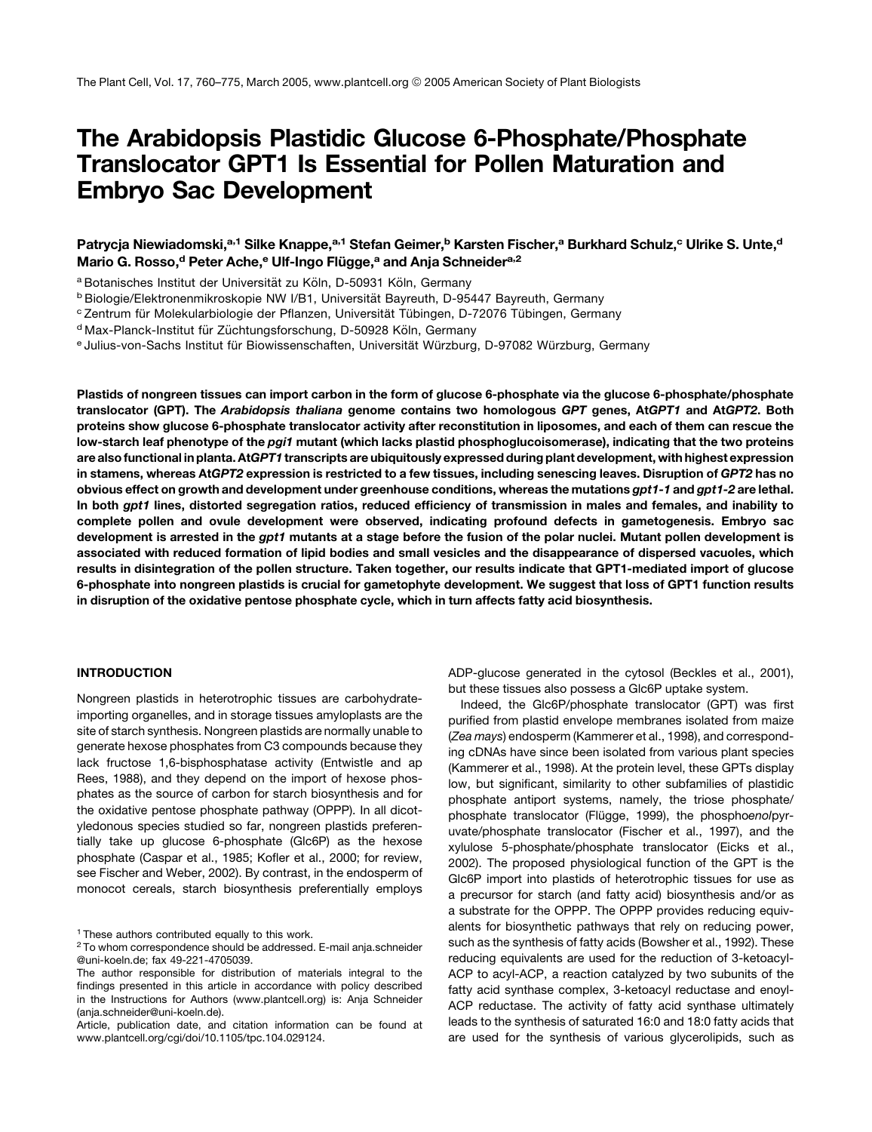# The Arabidopsis Plastidic Glucose 6-Phosphate/Phosphate Translocator GPT1 Is Essential for Pollen Maturation and Embryo Sac Development

# Patrycja Niewiadomski,<sup>a,1</sup> Silke Knappe,<sup>a,1</sup> Stefan Geimer,<sup>b</sup> Karsten Fischer,<sup>a</sup> Burkhard Schulz,<sup>c</sup> Ulrike S. Unte,<sup>d</sup> Mario G. Rosso,<sup>d</sup> Peter Ache,<sup>e</sup> Ulf-Ingo Flügge,<sup>a</sup> and Anja Schneider<sup>a,2</sup>

a Botanisches Institut der Universität zu Köln, D-50931 Köln, Germany

<sup>b</sup> Biologie/Elektronenmikroskopie NW I/B1, Universität Bayreuth, D-95447 Bayreuth, Germany

c Zentrum für Molekularbiologie der Pflanzen, Universität Tübingen, D-72076 Tübingen, Germany

<sup>d</sup> Max-Planck-Institut für Züchtungsforschung, D-50928 Köln, Germany

e Julius-von-Sachs Institut für Biowissenschaften, Universität Würzburg, D-97082 Würzburg, Germany

Plastids of nongreen tissues can import carbon in the form of glucose 6-phosphate via the glucose 6-phosphate/phosphate translocator (GPT). The Arabidopsis thaliana genome contains two homologous GPT genes, AtGPT1 and AtGPT2. Both proteins show glucose 6-phosphate translocator activity after reconstitution in liposomes, and each of them can rescue the low-starch leaf phenotype of the pgi1 mutant (which lacks plastid phosphoglucoisomerase), indicating that the two proteins are also functional in planta. AtGPT1 transcripts are ubiquitously expressed during plant development, with highest expression in stamens, whereas AtGPT2 expression is restricted to a few tissues, including senescing leaves. Disruption of GPT2 has no obvious effect on growth and development under greenhouse conditions, whereas the mutations gpt1-1 and gpt1-2 are lethal. In both gpt1 lines, distorted segregation ratios, reduced efficiency of transmission in males and females, and inability to complete pollen and ovule development were observed, indicating profound defects in gametogenesis. Embryo sac development is arrested in the gpt1 mutants at a stage before the fusion of the polar nuclei. Mutant pollen development is associated with reduced formation of lipid bodies and small vesicles and the disappearance of dispersed vacuoles, which results in disintegration of the pollen structure. Taken together, our results indicate that GPT1-mediated import of glucose 6-phosphate into nongreen plastids is crucial for gametophyte development. We suggest that loss of GPT1 function results in disruption of the oxidative pentose phosphate cycle, which in turn affects fatty acid biosynthesis.

# INTRODUCTION

Nongreen plastids in heterotrophic tissues are carbohydrateimporting organelles, and in storage tissues amyloplasts are the site of starch synthesis. Nongreen plastids are normally unable to generate hexose phosphates from C3 compounds because they lack fructose 1,6-bisphosphatase activity (Entwistle and ap Rees, 1988), and they depend on the import of hexose phosphates as the source of carbon for starch biosynthesis and for the oxidative pentose phosphate pathway (OPPP). In all dicotyledonous species studied so far, nongreen plastids preferentially take up glucose 6-phosphate (Glc6P) as the hexose phosphate (Caspar et al., 1985; Kofler et al., 2000; for review, see Fischer and Weber, 2002). By contrast, in the endosperm of monocot cereals, starch biosynthesis preferentially employs

<sup>1</sup> These authors contributed equally to this work.

ADP-glucose generated in the cytosol (Beckles et al., 2001), but these tissues also possess a Glc6P uptake system.

Indeed, the Glc6P/phosphate translocator (GPT) was first purified from plastid envelope membranes isolated from maize (*Zea mays*) endosperm (Kammerer et al., 1998), and corresponding cDNAs have since been isolated from various plant species (Kammerer et al., 1998). At the protein level, these GPTs display low, but significant, similarity to other subfamilies of plastidic phosphate antiport systems, namely, the triose phosphate/ phosphate translocator (Flügge, 1999), the phosphoenolpyruvate/phosphate translocator (Fischer et al., 1997), and the xylulose 5-phosphate/phosphate translocator (Eicks et al., 2002). The proposed physiological function of the GPT is the Glc6P import into plastids of heterotrophic tissues for use as a precursor for starch (and fatty acid) biosynthesis and/or as a substrate for the OPPP. The OPPP provides reducing equivalents for biosynthetic pathways that rely on reducing power, such as the synthesis of fatty acids (Bowsher et al., 1992). These reducing equivalents are used for the reduction of 3-ketoacyl-ACP to acyl-ACP, a reaction catalyzed by two subunits of the fatty acid synthase complex, 3-ketoacyl reductase and enoyl-ACP reductase. The activity of fatty acid synthase ultimately leads to the synthesis of saturated 16:0 and 18:0 fatty acids that are used for the synthesis of various glycerolipids, such as

<sup>2</sup> To whom correspondence should be addressed. E-mail anja.schneider @uni-koeln.de; fax 49-221-4705039.

The author responsible for distribution of materials integral to the findings presented in this article in accordance with policy described in the Instructions for Authors (www.plantcell.org) is: Anja Schneider (anja.schneider@uni-koeln.de).

Article, publication date, and citation information can be found at www.plantcell.org/cgi/doi/10.1105/tpc.104.029124.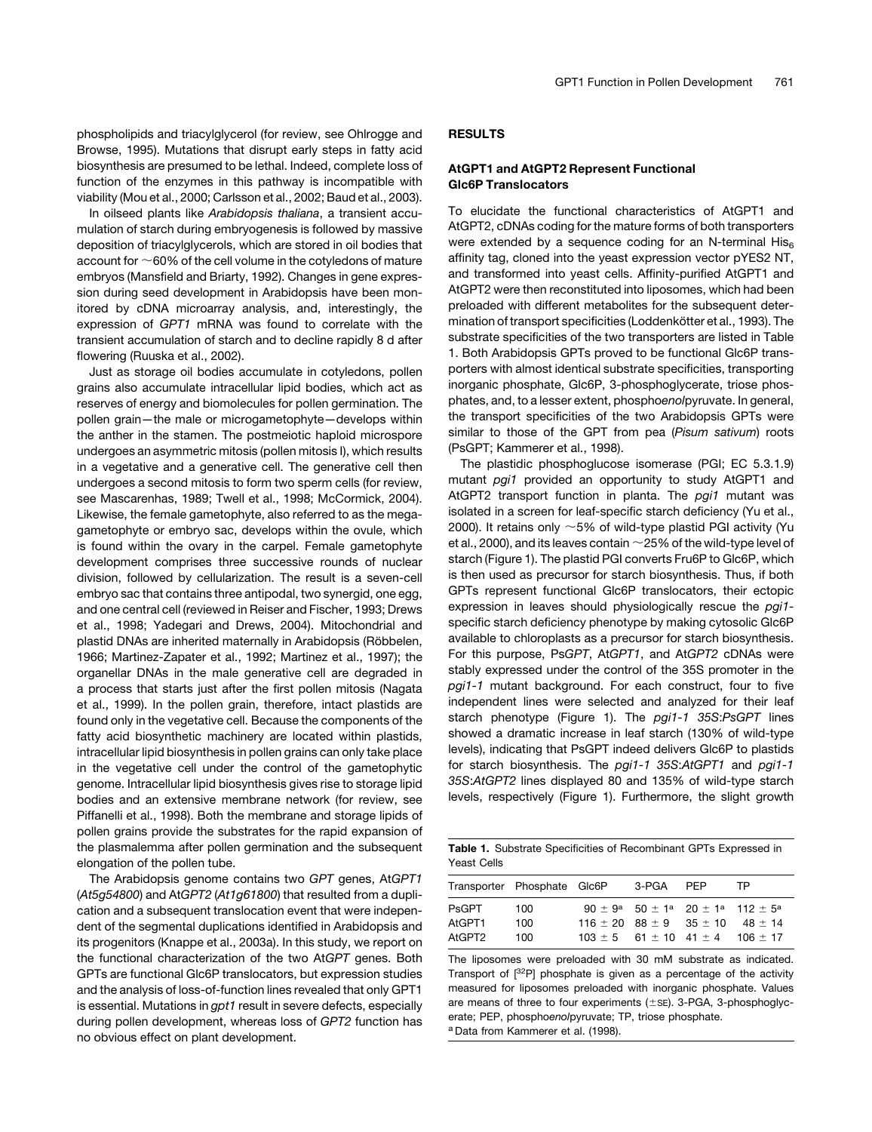phospholipids and triacylglycerol (for review, see Ohlrogge and Browse, 1995). Mutations that disrupt early steps in fatty acid biosynthesis are presumed to be lethal. Indeed, complete loss of function of the enzymes in this pathway is incompatible with viability (Mou et al., 2000; Carlsson et al., 2002; Baud et al., 2003).

In oilseed plants like *Arabidopsis thaliana*, a transient accumulation of starch during embryogenesis is followed by massive deposition of triacylglycerols, which are stored in oil bodies that account for  $\sim$  60% of the cell volume in the cotyledons of mature embryos (Mansfield and Briarty, 1992). Changes in gene expression during seed development in Arabidopsis have been monitored by cDNA microarray analysis, and, interestingly, the expression of *GPT1* mRNA was found to correlate with the transient accumulation of starch and to decline rapidly 8 d after flowering (Ruuska et al., 2002).

Just as storage oil bodies accumulate in cotyledons, pollen grains also accumulate intracellular lipid bodies, which act as reserves of energy and biomolecules for pollen germination. The pollen grain—the male or microgametophyte—develops within the anther in the stamen. The postmeiotic haploid microspore undergoes an asymmetric mitosis (pollen mitosis I), which results in a vegetative and a generative cell. The generative cell then undergoes a second mitosis to form two sperm cells (for review, see Mascarenhas, 1989; Twell et al., 1998; McCormick, 2004). Likewise, the female gametophyte, also referred to as the megagametophyte or embryo sac, develops within the ovule, which is found within the ovary in the carpel. Female gametophyte development comprises three successive rounds of nuclear division, followed by cellularization. The result is a seven-cell embryo sac that contains three antipodal, two synergid, one egg, and one central cell (reviewed in Reiser and Fischer, 1993; Drews et al., 1998; Yadegari and Drews, 2004). Mitochondrial and plastid DNAs are inherited maternally in Arabidopsis (Röbbelen, 1966; Martinez-Zapater et al., 1992; Martinez et al., 1997); the organellar DNAs in the male generative cell are degraded in a process that starts just after the first pollen mitosis (Nagata et al., 1999). In the pollen grain, therefore, intact plastids are found only in the vegetative cell. Because the components of the fatty acid biosynthetic machinery are located within plastids, intracellular lipid biosynthesis in pollen grains can only take place in the vegetative cell under the control of the gametophytic genome. Intracellular lipid biosynthesis gives rise to storage lipid bodies and an extensive membrane network (for review, see Piffanelli et al., 1998). Both the membrane and storage lipids of pollen grains provide the substrates for the rapid expansion of the plasmalemma after pollen germination and the subsequent elongation of the pollen tube.

The Arabidopsis genome contains two *GPT* genes, At*GPT1* (*At5g54800*) and At*GPT2* (*At1g61800*) that resulted from a duplication and a subsequent translocation event that were independent of the segmental duplications identified in Arabidopsis and its progenitors (Knappe et al., 2003a). In this study, we report on the functional characterization of the two At*GPT* genes. Both GPTs are functional Glc6P translocators, but expression studies and the analysis of loss-of-function lines revealed that only GPT1 is essential. Mutations in *gpt1* result in severe defects, especially during pollen development, whereas loss of *GPT2* function has no obvious effect on plant development.

# RESULTS

### AtGPT1 and AtGPT2 Represent Functional Glc6P Translocators

To elucidate the functional characteristics of AtGPT1 and AtGPT2, cDNAs coding for the mature forms of both transporters were extended by a sequence coding for an N-terminal  $His<sub>6</sub>$ affinity tag, cloned into the yeast expression vector pYES2 NT, and transformed into yeast cells. Affinity-purified AtGPT1 and AtGPT2 were then reconstituted into liposomes, which had been preloaded with different metabolites for the subsequent determination of transport specificities (Loddenkötter et al., 1993). The substrate specificities of the two transporters are listed in Table 1. Both Arabidopsis GPTs proved to be functional Glc6P transporters with almost identical substrate specificities, transporting inorganic phosphate, Glc6P, 3-phosphoglycerate, triose phosphates, and, to a lesser extent, phospho*enol*pyruvate. In general, the transport specificities of the two Arabidopsis GPTs were similar to those of the GPT from pea (*Pisum sativum*) roots (PsGPT; Kammerer et al., 1998).

The plastidic phosphoglucose isomerase (PGI; EC 5.3.1.9) mutant *pgi1* provided an opportunity to study AtGPT1 and AtGPT2 transport function in planta. The *pgi1* mutant was isolated in a screen for leaf-specific starch deficiency (Yu et al., 2000). It retains only  $\sim$  5% of wild-type plastid PGI activity (Yu et al., 2000), and its leaves contain  $\sim$  25% of the wild-type level of starch (Figure 1). The plastid PGI converts Fru6P to Glc6P, which is then used as precursor for starch biosynthesis. Thus, if both GPTs represent functional Glc6P translocators, their ectopic expression in leaves should physiologically rescue the *pgi1* specific starch deficiency phenotype by making cytosolic Glc6P available to chloroplasts as a precursor for starch biosynthesis. For this purpose, Ps*GPT*, At*GPT1*, and At*GPT2* cDNAs were stably expressed under the control of the 35S promoter in the *pgi1-1* mutant background. For each construct, four to five independent lines were selected and analyzed for their leaf starch phenotype (Figure 1). The *pgi1-1 35S*:*PsGPT* lines showed a dramatic increase in leaf starch (130% of wild-type levels), indicating that PsGPT indeed delivers Glc6P to plastids for starch biosynthesis. The *pgi1-1 35S*:*AtGPT1* and *pgi1-1 35S*:*AtGPT2* lines displayed 80 and 135% of wild-type starch levels, respectively (Figure 1). Furthermore, the slight growth

| <b>Table 1.</b> Substrate Specificities of Recombinant GPTs Expressed in |  |
|--------------------------------------------------------------------------|--|
| Yeast Cells                                                              |  |

|                                  | Transporter Phosphate GIc6P |                                     | 3-PGA | <b>PFP</b> | TP                                                                                                                 |
|----------------------------------|-----------------------------|-------------------------------------|-------|------------|--------------------------------------------------------------------------------------------------------------------|
| <b>PsGPT</b><br>AtGPT1<br>AtGPT2 | 100<br>100<br>100           | $116 \pm 20$ 88 $\pm$ 9 35 $\pm$ 10 |       |            | $90 \pm 9^a$ 50 $\pm 1^a$ 20 $\pm 1^a$ 112 $\pm 5^a$<br>48 + 14<br>$103 \pm 5$ 61 $\pm$ 10 41 $\pm$ 4 106 $\pm$ 17 |

The liposomes were preloaded with 30 mM substrate as indicated. Transport of [32P] phosphate is given as a percentage of the activity measured for liposomes preloaded with inorganic phosphate. Values are means of three to four experiments  $(\pm sE)$ . 3-PGA, 3-phosphoglycerate; PEP, phospho*enol*pyruvate; TP, triose phosphate. <sup>a</sup> Data from Kammerer et al. (1998).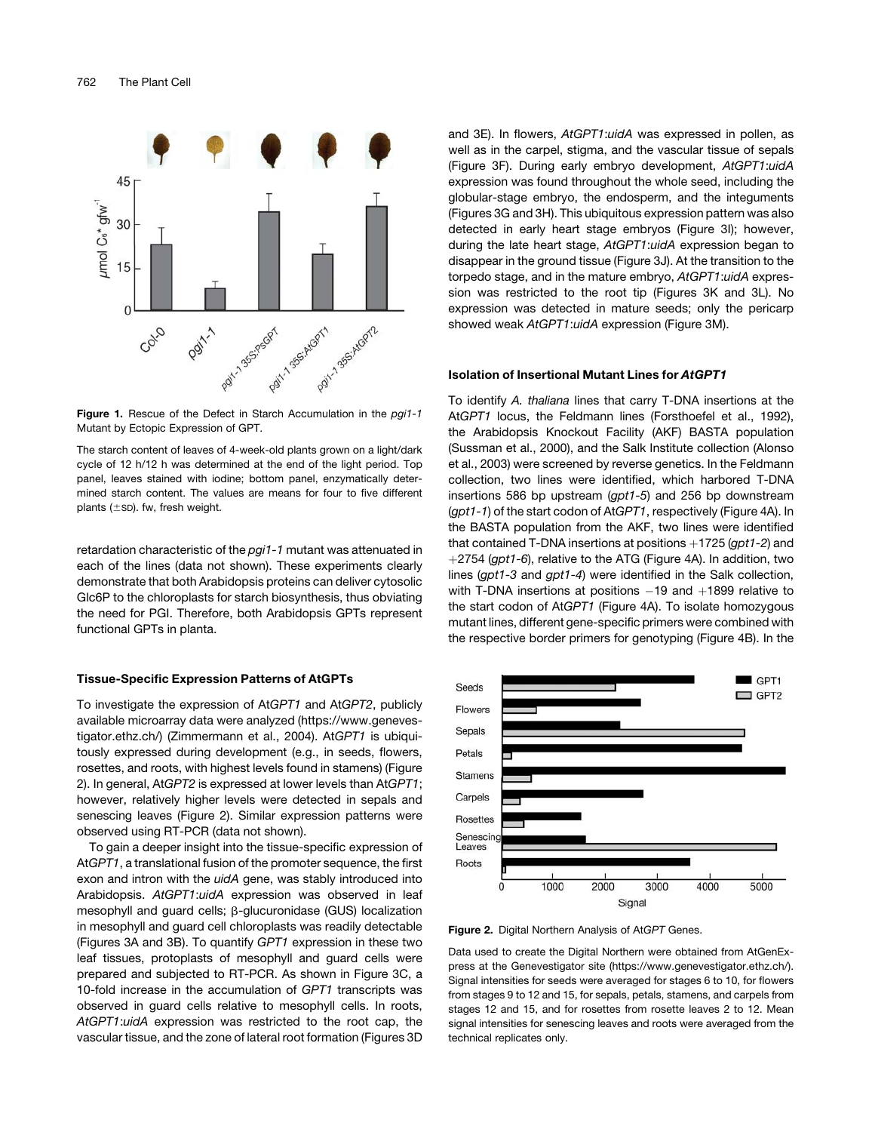

Figure 1. Rescue of the Defect in Starch Accumulation in the *pgi1-1* Mutant by Ectopic Expression of GPT.

The starch content of leaves of 4-week-old plants grown on a light/dark cycle of 12 h/12 h was determined at the end of the light period. Top panel, leaves stained with iodine; bottom panel, enzymatically determined starch content. The values are means for four to five different plants  $(\pm$ SD). fw, fresh weight.

retardation characteristic of the *pgi1-1* mutant was attenuated in each of the lines (data not shown). These experiments clearly demonstrate that both Arabidopsis proteins can deliver cytosolic Glc6P to the chloroplasts for starch biosynthesis, thus obviating the need for PGI. Therefore, both Arabidopsis GPTs represent functional GPTs in planta.

#### Tissue-Specific Expression Patterns of AtGPTs

To investigate the expression of At*GPT1* and At*GPT2*, publicly available microarray data were analyzed (https://www.genevestigator.ethz.ch/) (Zimmermann et al., 2004). At*GPT1* is ubiquitously expressed during development (e.g., in seeds, flowers, rosettes, and roots, with highest levels found in stamens) (Figure 2). In general, At*GPT2* is expressed at lower levels than At*GPT1*; however, relatively higher levels were detected in sepals and senescing leaves (Figure 2). Similar expression patterns were observed using RT-PCR (data not shown).

To gain a deeper insight into the tissue-specific expression of At*GPT1*, a translational fusion of the promoter sequence, the first exon and intron with the *uidA* gene, was stably introduced into Arabidopsis. *AtGPT1*:*uidA* expression was observed in leaf mesophyll and guard cells;  $\beta$ -glucuronidase (GUS) localization in mesophyll and guard cell chloroplasts was readily detectable (Figures 3A and 3B). To quantify *GPT1* expression in these two leaf tissues, protoplasts of mesophyll and guard cells were prepared and subjected to RT-PCR. As shown in Figure 3C, a 10-fold increase in the accumulation of *GPT1* transcripts was observed in guard cells relative to mesophyll cells. In roots, *AtGPT1*:*uidA* expression was restricted to the root cap, the vascular tissue, and the zone of lateral root formation (Figures 3D

and 3E). In flowers, *AtGPT1*:*uidA* was expressed in pollen, as well as in the carpel, stigma, and the vascular tissue of sepals (Figure 3F). During early embryo development, *AtGPT1*:*uidA* expression was found throughout the whole seed, including the globular-stage embryo, the endosperm, and the integuments (Figures 3G and 3H). This ubiquitous expression pattern was also detected in early heart stage embryos (Figure 3I); however, during the late heart stage, *AtGPT1*:*uidA* expression began to disappear in the ground tissue (Figure 3J). At the transition to the torpedo stage, and in the mature embryo, *AtGPT1*:*uidA* expression was restricted to the root tip (Figures 3K and 3L). No expression was detected in mature seeds; only the pericarp showed weak *AtGPT1*:*uidA* expression (Figure 3M).

#### Isolation of Insertional Mutant Lines for AtGPT1

To identify *A. thaliana* lines that carry T-DNA insertions at the At*GPT1* locus, the Feldmann lines (Forsthoefel et al., 1992), the Arabidopsis Knockout Facility (AKF) BASTA population (Sussman et al., 2000), and the Salk Institute collection (Alonso et al., 2003) were screened by reverse genetics. In the Feldmann collection, two lines were identified, which harbored T-DNA insertions 586 bp upstream (*gpt1-5*) and 256 bp downstream (*gpt1-1*) of the start codon of At*GPT1*, respectively (Figure 4A). In the BASTA population from the AKF, two lines were identified that contained T-DNA insertions at positions  $+1725$  (*gpt1-2*) and þ2754 (*gpt1-6*), relative to the ATG (Figure 4A). In addition, two lines (*gpt1-3* and *gpt1-4*) were identified in the Salk collection, with T-DNA insertions at positions  $-19$  and  $+1899$  relative to the start codon of At*GPT1* (Figure 4A). To isolate homozygous mutant lines, different gene-specific primers were combined with the respective border primers for genotyping (Figure 4B). In the



Figure 2. Digital Northern Analysis of At*GPT* Genes.

Data used to create the Digital Northern were obtained from AtGenExpress at the Genevestigator site (https://www.genevestigator.ethz.ch/). Signal intensities for seeds were averaged for stages 6 to 10, for flowers from stages 9 to 12 and 15, for sepals, petals, stamens, and carpels from stages 12 and 15, and for rosettes from rosette leaves 2 to 12. Mean signal intensities for senescing leaves and roots were averaged from the technical replicates only.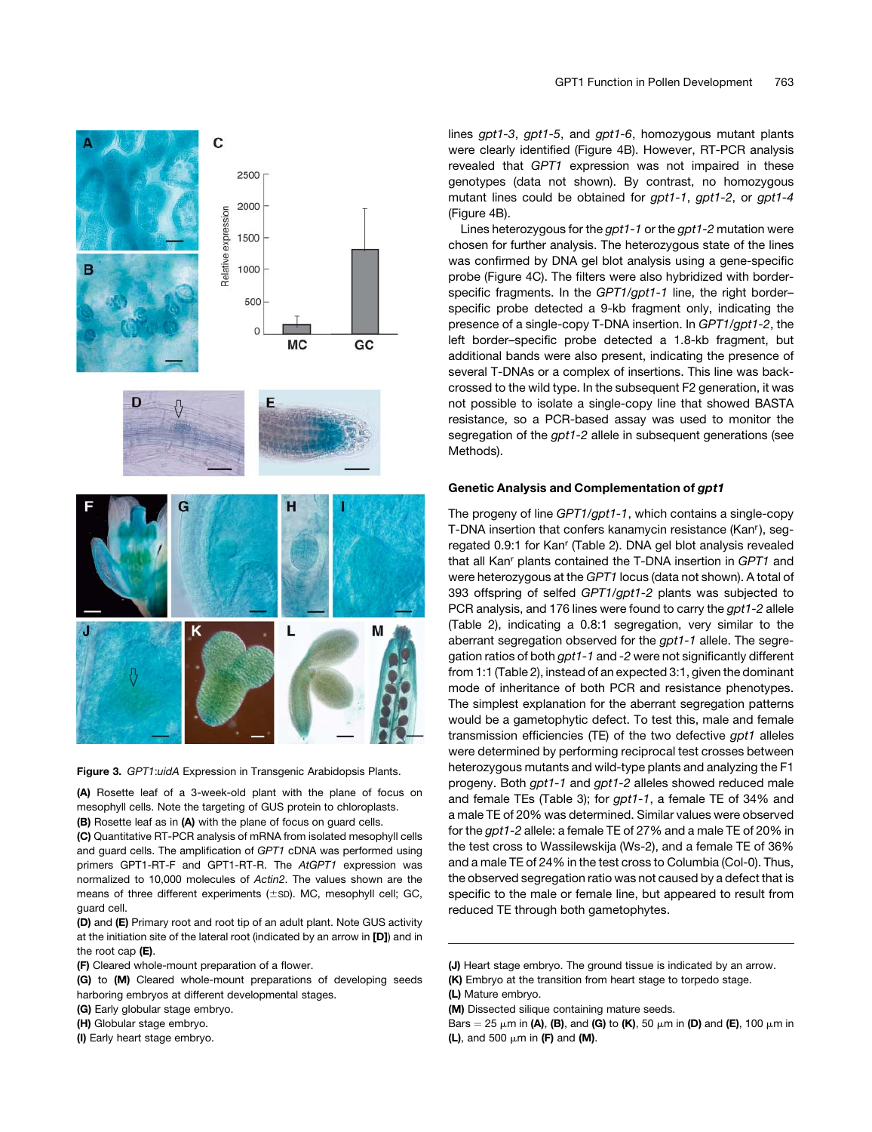

Figure 3. *GPT1*:*uidA* Expression in Transgenic Arabidopsis Plants.

(A) Rosette leaf of a 3-week-old plant with the plane of focus on mesophyll cells. Note the targeting of GUS protein to chloroplasts. (B) Rosette leaf as in (A) with the plane of focus on guard cells.

(C) Quantitative RT-PCR analysis of mRNA from isolated mesophyll cells and guard cells. The amplification of *GPT1* cDNA was performed using primers GPT1-RT-F and GPT1-RT-R. The *AtGPT1* expression was normalized to 10,000 molecules of *Actin2*. The values shown are the means of three different experiments  $(\pm sD)$ . MC, mesophyll cell; GC, guard cell.

(D) and (E) Primary root and root tip of an adult plant. Note GUS activity at the initiation site of the lateral root (indicated by an arrow in [D]) and in the root cap (E).

(F) Cleared whole-mount preparation of a flower.

(G) to (M) Cleared whole-mount preparations of developing seeds harboring embryos at different developmental stages.

- (G) Early globular stage embryo.
- (H) Globular stage embryo.
- (I) Early heart stage embryo.

lines *gpt1-3*, *gpt1-5*, and *gpt1-6*, homozygous mutant plants were clearly identified (Figure 4B). However, RT-PCR analysis revealed that *GPT1* expression was not impaired in these genotypes (data not shown). By contrast, no homozygous mutant lines could be obtained for *gpt1-1*, *gpt1-2*, or *gpt1-4* (Figure 4B).

Lines heterozygous for the *gpt1-1* or the *gpt1-2* mutation were chosen for further analysis. The heterozygous state of the lines was confirmed by DNA gel blot analysis using a gene-specific probe (Figure 4C). The filters were also hybridized with borderspecific fragments. In the *GPT1/gpt1-1* line, the right border– specific probe detected a 9-kb fragment only, indicating the presence of a single-copy T-DNA insertion. In *GPT1/gpt1-2*, the left border–specific probe detected a 1.8-kb fragment, but additional bands were also present, indicating the presence of several T-DNAs or a complex of insertions. This line was backcrossed to the wild type. In the subsequent F2 generation, it was not possible to isolate a single-copy line that showed BASTA resistance, so a PCR-based assay was used to monitor the segregation of the *gpt1-2* allele in subsequent generations (see Methods).

### Genetic Analysis and Complementation of gpt1

The progeny of line *GPT1/gpt1-1*, which contains a single-copy T-DNA insertion that confers kanamycin resistance (Kanr), segregated 0.9:1 for Kan<sup>r</sup> (Table 2). DNA gel blot analysis revealed that all Kan<sup>r</sup> plants contained the T-DNA insertion in *GPT1* and were heterozygous at the *GPT1* locus (data not shown). A total of 393 offspring of selfed *GPT1/gpt1-2* plants was subjected to PCR analysis, and 176 lines were found to carry the *gpt1-2* allele (Table 2), indicating a 0.8:1 segregation, very similar to the aberrant segregation observed for the *gpt1-1* allele. The segregation ratios of both *gpt1-1* and *-2* were not significantly different from 1:1 (Table 2), instead of an expected 3:1, given the dominant mode of inheritance of both PCR and resistance phenotypes. The simplest explanation for the aberrant segregation patterns would be a gametophytic defect. To test this, male and female transmission efficiencies (TE) of the two defective *gpt1* alleles were determined by performing reciprocal test crosses between heterozygous mutants and wild-type plants and analyzing the F1 progeny. Both *gpt1-1* and *gpt1-2* alleles showed reduced male and female TEs (Table 3); for *gpt1-1*, a female TE of 34% and a male TE of 20% was determined. Similar values were observed for the *gpt1-2* allele: a female TE of 27% and a male TE of 20% in the test cross to Wassilewskija (Ws-2), and a female TE of 36% and a male TE of 24% in the test cross to Columbia (Col-0). Thus, the observed segregation ratio was not caused by a defect that is specific to the male or female line, but appeared to result from reduced TE through both gametophytes.

<sup>(</sup>J) Heart stage embryo. The ground tissue is indicated by an arrow. (K) Embryo at the transition from heart stage to torpedo stage.

<sup>(</sup>L) Mature embryo.

<sup>(</sup>M) Dissected silique containing mature seeds.

Bars = 25  $\mu$ m in (A), (B), and (G) to (K), 50  $\mu$ m in (D) and (E), 100  $\mu$ m in (L), and 500  $\mu$ m in (F) and (M).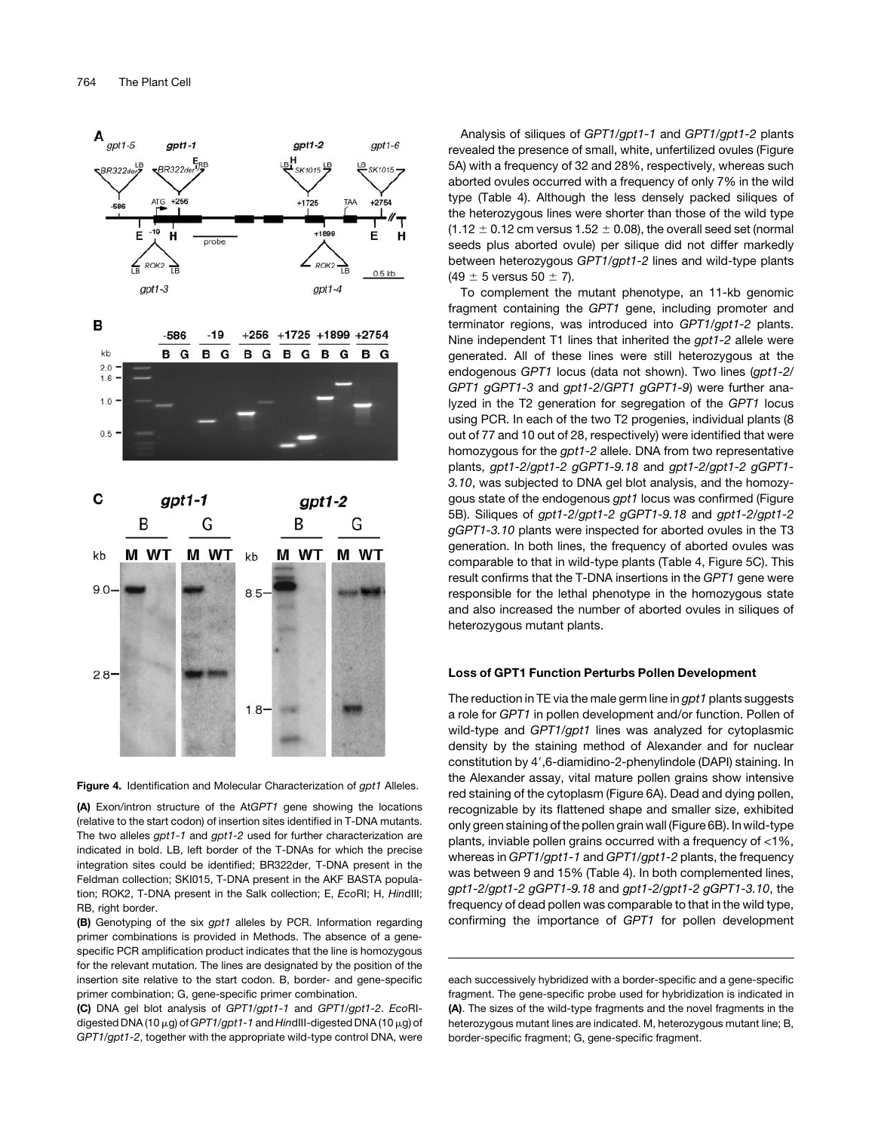

Figure 4. Identification and Molecular Characterization of *gpt1* Alleles.

(A) Exon/intron structure of the At*GPT1* gene showing the locations (relative to the start codon) of insertion sites identified in T-DNA mutants. The two alleles *gpt1-1* and *gpt1-2* used for further characterization are indicated in bold. LB, left border of the T-DNAs for which the precise integration sites could be identified; BR322der, T-DNA present in the Feldman collection; SKI015, T-DNA present in the AKF BASTA population; ROK2, T-DNA present in the Salk collection; E, *Eco*RI; H, *Hin*dIII; RB, right border.

(B) Genotyping of the six *gpt1* alleles by PCR. Information regarding primer combinations is provided in Methods. The absence of a genespecific PCR amplification product indicates that the line is homozygous for the relevant mutation. The lines are designated by the position of the insertion site relative to the start codon. B, border- and gene-specific primer combination; G, gene-specific primer combination.

(C) DNA gel blot analysis of *GPT1/gpt1-1* and *GPT1/gpt1-2*. *Eco*RIdigested DNA (10 μg) of *GPT1/gpt1-1* and *HindIII-digested DNA* (10 μg) of *GPT1/gpt1-2*, together with the appropriate wild-type control DNA, were

Analysis of siliques of *GPT1/gpt1-1* and *GPT1/gpt1-2* plants revealed the presence of small, white, unfertilized ovules (Figure 5A) with a frequency of 32 and 28%, respectively, whereas such aborted ovules occurred with a frequency of only 7% in the wild type (Table 4). Although the less densely packed siliques of the heterozygous lines were shorter than those of the wild type  $(1.12 \pm 0.12 \text{ cm}$  versus  $1.52 \pm 0.08$ ), the overall seed set (normal seeds plus aborted ovule) per silique did not differ markedly between heterozygous *GPT1/gpt1-2* lines and wild-type plants  $(49 \pm 5 \text{ versus } 50 \pm 7)$ .

To complement the mutant phenotype, an 11-kb genomic fragment containing the *GPT1* gene, including promoter and terminator regions, was introduced into *GPT1/gpt1-2* plants. Nine independent T1 lines that inherited the *gpt1-2* allele were generated. All of these lines were still heterozygous at the endogenous *GPT1* locus (data not shown). Two lines (*gpt1-2/ GPT1 gGPT1-3* and *gpt1-2/GPT1 gGPT1-9*) were further analyzed in the T2 generation for segregation of the *GPT1* locus using PCR. In each of the two T2 progenies, individual plants (8 out of 77 and 10 out of 28, respectively) were identified that were homozygous for the *gpt1-2* allele. DNA from two representative plants, *gpt1-2/gpt1-2 gGPT1-9.18* and *gpt1-2/gpt1-2 gGPT1- 3.10*, was subjected to DNA gel blot analysis, and the homozygous state of the endogenous *gpt1* locus was confirmed (Figure 5B). Siliques of *gpt1-2/gpt1-2 gGPT1-9.18* and *gpt1-2/gpt1-2 gGPT1-3.10* plants were inspected for aborted ovules in the T3 generation. In both lines, the frequency of aborted ovules was comparable to that in wild-type plants (Table 4, Figure 5C). This result confirms that the T-DNA insertions in the *GPT1* gene were responsible for the lethal phenotype in the homozygous state and also increased the number of aborted ovules in siliques of heterozygous mutant plants.

### Loss of GPT1 Function Perturbs Pollen Development

The reduction in TE via the male germ line in *gpt1* plants suggests a role for *GPT1* in pollen development and/or function. Pollen of wild-type and *GPT1/gpt1* lines was analyzed for cytoplasmic density by the staining method of Alexander and for nuclear constitution by 4',6-diamidino-2-phenylindole (DAPI) staining. In the Alexander assay, vital mature pollen grains show intensive red staining of the cytoplasm (Figure 6A). Dead and dying pollen, recognizable by its flattened shape and smaller size, exhibited only green staining of the pollen grain wall (Figure 6B). In wild-type plants, inviable pollen grains occurred with a frequency of <1%, whereas in *GPT1/gpt1-1* and *GPT1/gpt1-2* plants, the frequency was between 9 and 15% (Table 4). In both complemented lines, *gpt1-2/gpt1-2 gGPT1-9.18* and *gpt1-2/gpt1-2 gGPT1-3.10*, the frequency of dead pollen was comparable to that in the wild type, confirming the importance of *GPT1* for pollen development

each successively hybridized with a border-specific and a gene-specific fragment. The gene-specific probe used for hybridization is indicated in (A). The sizes of the wild-type fragments and the novel fragments in the heterozygous mutant lines are indicated. M, heterozygous mutant line; B, border-specific fragment; G, gene-specific fragment.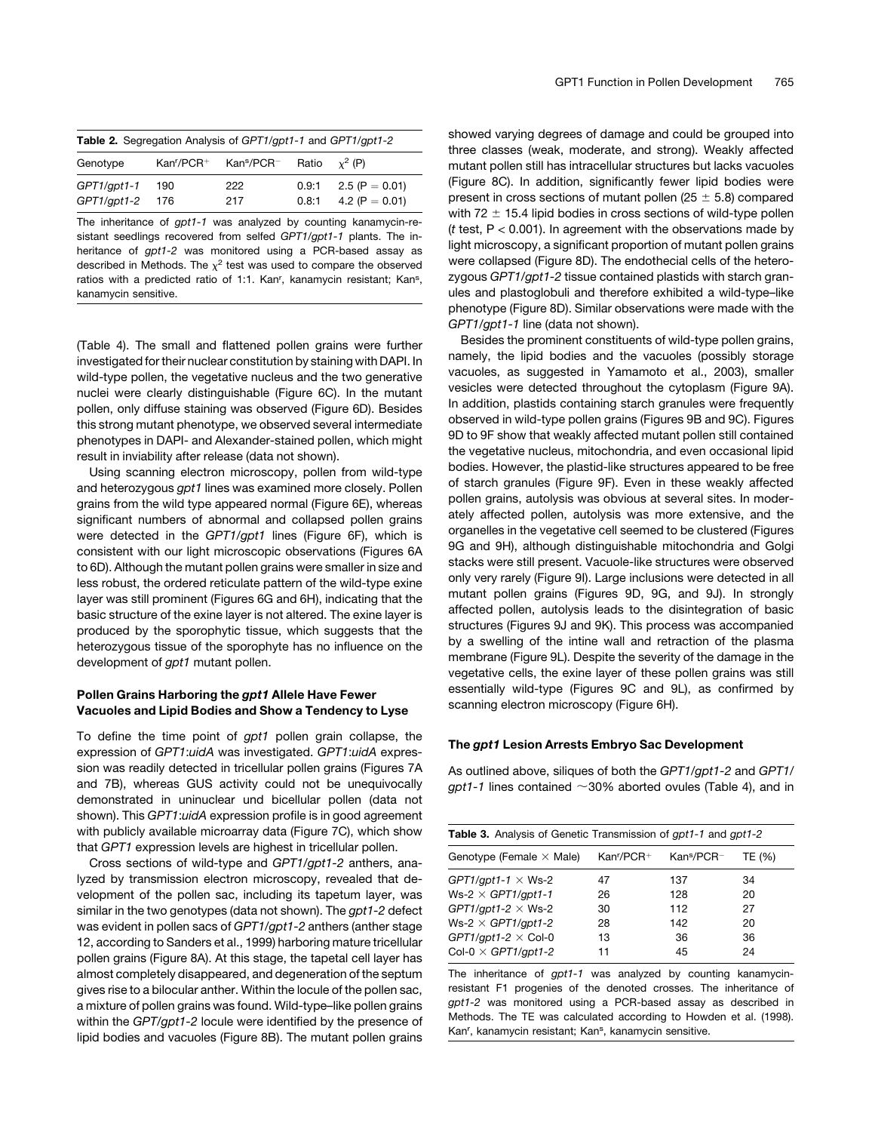| <b>Table 2.</b> Segregation Analysis of GPT1/gpt1-1 and GPT1/gpt1-2 |  |                                                  |                |                                        |
|---------------------------------------------------------------------|--|--------------------------------------------------|----------------|----------------------------------------|
| Genotype                                                            |  | Kan'/PCR+ Kan <sup>s</sup> /PCR- Ratio $x^2$ (P) |                |                                        |
| GPT1/gpt1-1 190<br>GPT1/gpt1-2 176                                  |  | 222<br>217                                       | 0.9:1<br>0.8:1 | 2.5 (P $= 0.01$ )<br>4.2 (P $= 0.01$ ) |

The inheritance of *gpt1-1* was analyzed by counting kanamycin-resistant seedlings recovered from selfed *GPT1/gpt1-1* plants. The inheritance of *gpt1-2* was monitored using a PCR-based assay as described in Methods. The  $\chi^2$  test was used to compare the observed ratios with a predicted ratio of 1:1. Kan<sup>r</sup>, kanamycin resistant; Kan<sup>s</sup>, kanamycin sensitive.

(Table 4). The small and flattened pollen grains were further investigated for their nuclear constitution by staining with DAPI. In wild-type pollen, the vegetative nucleus and the two generative nuclei were clearly distinguishable (Figure 6C). In the mutant pollen, only diffuse staining was observed (Figure 6D). Besides this strong mutant phenotype, we observed several intermediate phenotypes in DAPI- and Alexander-stained pollen, which might result in inviability after release (data not shown).

Using scanning electron microscopy, pollen from wild-type and heterozygous *gpt1* lines was examined more closely. Pollen grains from the wild type appeared normal (Figure 6E), whereas significant numbers of abnormal and collapsed pollen grains were detected in the *GPT1/gpt1* lines (Figure 6F), which is consistent with our light microscopic observations (Figures 6A to 6D). Although the mutant pollen grains were smaller in size and less robust, the ordered reticulate pattern of the wild-type exine layer was still prominent (Figures 6G and 6H), indicating that the basic structure of the exine layer is not altered. The exine layer is produced by the sporophytic tissue, which suggests that the heterozygous tissue of the sporophyte has no influence on the development of *gpt1* mutant pollen.

# Pollen Grains Harboring the gpt1 Allele Have Fewer Vacuoles and Lipid Bodies and Show a Tendency to Lyse

To define the time point of *gpt1* pollen grain collapse, the expression of *GPT1*:*uidA* was investigated. *GPT1*:*uidA* expression was readily detected in tricellular pollen grains (Figures 7A and 7B), whereas GUS activity could not be unequivocally demonstrated in uninuclear und bicellular pollen (data not shown). This *GPT1*:*uidA* expression profile is in good agreement with publicly available microarray data (Figure 7C), which show that *GPT1* expression levels are highest in tricellular pollen.

Cross sections of wild-type and *GPT1/gpt1-2* anthers, analyzed by transmission electron microscopy, revealed that development of the pollen sac, including its tapetum layer, was similar in the two genotypes (data not shown). The *gpt1-2* defect was evident in pollen sacs of *GPT1/gpt1-2* anthers (anther stage 12, according to Sanders et al., 1999) harboring mature tricellular pollen grains (Figure 8A). At this stage, the tapetal cell layer has almost completely disappeared, and degeneration of the septum gives rise to a bilocular anther. Within the locule of the pollen sac, a mixture of pollen grains was found. Wild-type–like pollen grains within the *GPT/gpt1-2* locule were identified by the presence of lipid bodies and vacuoles (Figure 8B). The mutant pollen grains showed varying degrees of damage and could be grouped into three classes (weak, moderate, and strong). Weakly affected mutant pollen still has intracellular structures but lacks vacuoles (Figure 8C). In addition, significantly fewer lipid bodies were present in cross sections of mutant pollen ( $25 \pm 5.8$ ) compared with 72  $\pm$  15.4 lipid bodies in cross sections of wild-type pollen (*t* test, P < 0.001). In agreement with the observations made by light microscopy, a significant proportion of mutant pollen grains were collapsed (Figure 8D). The endothecial cells of the heterozygous *GPT1/gpt1-2* tissue contained plastids with starch granules and plastoglobuli and therefore exhibited a wild-type–like phenotype (Figure 8D). Similar observations were made with the *GPT1/gpt1-1* line (data not shown).

Besides the prominent constituents of wild-type pollen grains, namely, the lipid bodies and the vacuoles (possibly storage vacuoles, as suggested in Yamamoto et al., 2003), smaller vesicles were detected throughout the cytoplasm (Figure 9A). In addition, plastids containing starch granules were frequently observed in wild-type pollen grains (Figures 9B and 9C). Figures 9D to 9F show that weakly affected mutant pollen still contained the vegetative nucleus, mitochondria, and even occasional lipid bodies. However, the plastid-like structures appeared to be free of starch granules (Figure 9F). Even in these weakly affected pollen grains, autolysis was obvious at several sites. In moderately affected pollen, autolysis was more extensive, and the organelles in the vegetative cell seemed to be clustered (Figures 9G and 9H), although distinguishable mitochondria and Golgi stacks were still present. Vacuole-like structures were observed only very rarely (Figure 9I). Large inclusions were detected in all mutant pollen grains (Figures 9D, 9G, and 9J). In strongly affected pollen, autolysis leads to the disintegration of basic structures (Figures 9J and 9K). This process was accompanied by a swelling of the intine wall and retraction of the plasma membrane (Figure 9L). Despite the severity of the damage in the vegetative cells, the exine layer of these pollen grains was still essentially wild-type (Figures 9C and 9L), as confirmed by scanning electron microscopy (Figure 6H).

### The gpt1 Lesion Arrests Embryo Sac Development

As outlined above, siliques of both the *GPT1/gpt1-2* and *GPT1/ gpt1-1* lines contained  $\sim$ 30% aborted ovules (Table 4), and in

| <b>Table 3.</b> Analysis of Genetic Transmission of <i>gpt1-1</i> and <i>gpt1-2</i> |             |                        |        |
|-------------------------------------------------------------------------------------|-------------|------------------------|--------|
| Genotype (Female $\times$ Male)                                                     | $Kanr/PCR+$ | Kan <sup>s</sup> /PCR- | TE (%) |
| GPT1/gpt1-1 $\times$ Ws-2                                                           | 47          | 137                    | 34     |
| Ws-2 $\times$ GPT1/qpt1-1                                                           | 26          | 128                    | 20     |
| GPT1/qpt1-2 $\times$ Ws-2                                                           | 30          | 112                    | 27     |
| Ws-2 $\times$ GPT1/gpt1-2                                                           | 28          | 142                    | 20     |
| GPT1/gpt1-2 $\times$ Col-0                                                          | 13          | 36                     | 36     |
| Col-0 $\times$ GPT1/qpt1-2                                                          | 11          | 45                     | 24     |

The inheritance of *gpt1-1* was analyzed by counting kanamycinresistant F1 progenies of the denoted crosses. The inheritance of *gpt1-2* was monitored using a PCR-based assay as described in Methods. The TE was calculated according to Howden et al. (1998). Kan<sup>r</sup>, kanamycin resistant; Kan<sup>s</sup>, kanamycin sensitive.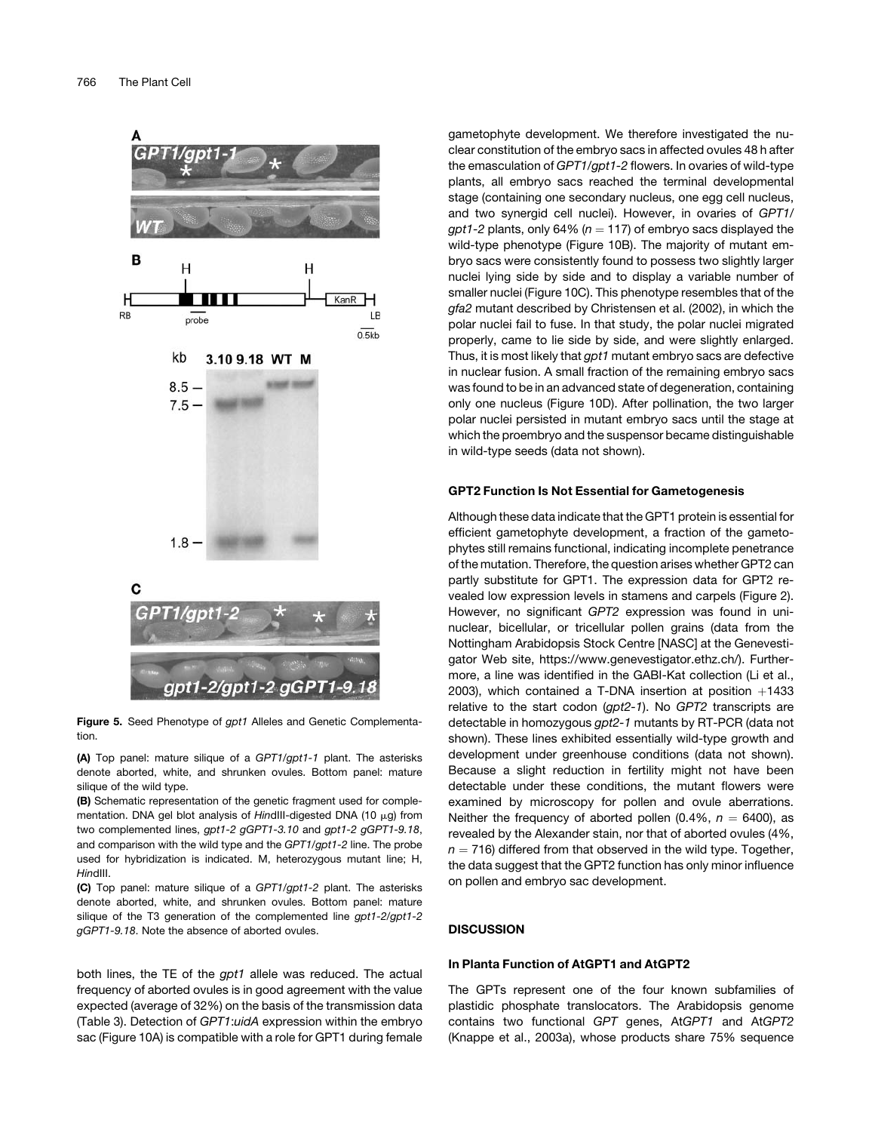

Figure 5. Seed Phenotype of *gpt1* Alleles and Genetic Complementation.

(A) Top panel: mature silique of a *GPT1/gpt1-1* plant. The asterisks denote aborted, white, and shrunken ovules. Bottom panel: mature silique of the wild type.

(B) Schematic representation of the genetic fragment used for complementation. DNA gel blot analysis of *HindIII-digested DNA* (10 µg) from two complemented lines, *gpt1-2 gGPT1-3.10* and *gpt1-2 gGPT1-9.18*, and comparison with the wild type and the *GPT1/gpt1-2* line. The probe used for hybridization is indicated. M, heterozygous mutant line; H, *Hin*dIII.

(C) Top panel: mature silique of a *GPT1/gpt1-2* plant. The asterisks denote aborted, white, and shrunken ovules. Bottom panel: mature silique of the T3 generation of the complemented line *gpt1-2/gpt1-2 gGPT1-9.18*. Note the absence of aborted ovules.

both lines, the TE of the *gpt1* allele was reduced. The actual frequency of aborted ovules is in good agreement with the value expected (average of 32%) on the basis of the transmission data (Table 3). Detection of *GPT1*:*uidA* expression within the embryo sac (Figure 10A) is compatible with a role for GPT1 during female gametophyte development. We therefore investigated the nuclear constitution of the embryo sacs in affected ovules 48 h after the emasculation of *GPT1/gpt1-2* flowers. In ovaries of wild-type plants, all embryo sacs reached the terminal developmental stage (containing one secondary nucleus, one egg cell nucleus, and two synergid cell nuclei). However, in ovaries of *GPT1/ gpt1-2* plants, only 64% ( $n = 117$ ) of embryo sacs displayed the wild-type phenotype (Figure 10B). The majority of mutant embryo sacs were consistently found to possess two slightly larger nuclei lying side by side and to display a variable number of smaller nuclei (Figure 10C). This phenotype resembles that of the *gfa2* mutant described by Christensen et al. (2002), in which the polar nuclei fail to fuse. In that study, the polar nuclei migrated properly, came to lie side by side, and were slightly enlarged. Thus, it is most likely that *gpt1* mutant embryo sacs are defective in nuclear fusion. A small fraction of the remaining embryo sacs was found to be in an advanced state of degeneration, containing only one nucleus (Figure 10D). After pollination, the two larger polar nuclei persisted in mutant embryo sacs until the stage at which the proembryo and the suspensor became distinguishable in wild-type seeds (data not shown).

### GPT2 Function Is Not Essential for Gametogenesis

Although these data indicate that the GPT1 protein is essential for efficient gametophyte development, a fraction of the gametophytes still remains functional, indicating incomplete penetrance of the mutation. Therefore, the question arises whether GPT2 can partly substitute for GPT1. The expression data for GPT2 revealed low expression levels in stamens and carpels (Figure 2). However, no significant *GPT2* expression was found in uninuclear, bicellular, or tricellular pollen grains (data from the Nottingham Arabidopsis Stock Centre [NASC] at the Genevestigator Web site, https://www.genevestigator.ethz.ch/). Furthermore, a line was identified in the GABI-Kat collection (Li et al., 2003), which contained a T-DNA insertion at position  $+1433$ relative to the start codon (*gpt2-1*). No *GPT2* transcripts are detectable in homozygous *gpt2-1* mutants by RT-PCR (data not shown). These lines exhibited essentially wild-type growth and development under greenhouse conditions (data not shown). Because a slight reduction in fertility might not have been detectable under these conditions, the mutant flowers were examined by microscopy for pollen and ovule aberrations. Neither the frequency of aborted pollen (0.4%,  $n = 6400$ ), as revealed by the Alexander stain, nor that of aborted ovules (4%,  $n = 716$ ) differed from that observed in the wild type. Together, the data suggest that the GPT2 function has only minor influence on pollen and embryo sac development.

# **DISCUSSION**

### In Planta Function of AtGPT1 and AtGPT2

The GPTs represent one of the four known subfamilies of plastidic phosphate translocators. The Arabidopsis genome contains two functional *GPT* genes, At*GPT1* and At*GPT2* (Knappe et al., 2003a), whose products share 75% sequence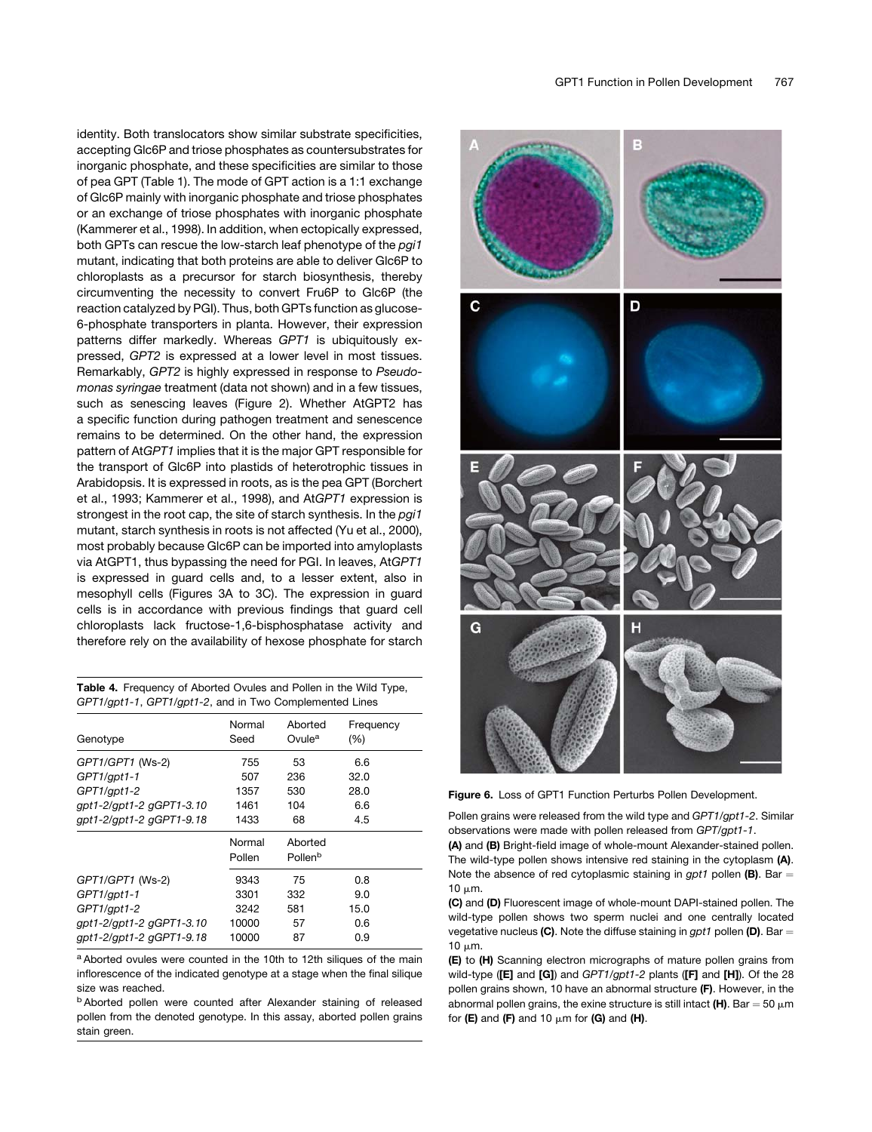identity. Both translocators show similar substrate specificities, accepting Glc6P and triose phosphates as countersubstrates for inorganic phosphate, and these specificities are similar to those of pea GPT (Table 1). The mode of GPT action is a 1:1 exchange of Glc6P mainly with inorganic phosphate and triose phosphates or an exchange of triose phosphates with inorganic phosphate (Kammerer et al., 1998). In addition, when ectopically expressed, both GPTs can rescue the low-starch leaf phenotype of the *pgi1* mutant, indicating that both proteins are able to deliver Glc6P to chloroplasts as a precursor for starch biosynthesis, thereby circumventing the necessity to convert Fru6P to Glc6P (the reaction catalyzed by PGI). Thus, both GPTs function as glucose-6-phosphate transporters in planta. However, their expression patterns differ markedly. Whereas *GPT1* is ubiquitously expressed, *GPT2* is expressed at a lower level in most tissues. Remarkably, *GPT2* is highly expressed in response to *Pseudomonas syringae* treatment (data not shown) and in a few tissues, such as senescing leaves (Figure 2). Whether AtGPT2 has a specific function during pathogen treatment and senescence remains to be determined. On the other hand, the expression pattern of At*GPT1* implies that it is the major GPT responsible for the transport of Glc6P into plastids of heterotrophic tissues in Arabidopsis. It is expressed in roots, as is the pea GPT (Borchert et al., 1993; Kammerer et al., 1998), and At*GPT1* expression is strongest in the root cap, the site of starch synthesis. In the *pgi1* mutant, starch synthesis in roots is not affected (Yu et al., 2000), most probably because Glc6P can be imported into amyloplasts via AtGPT1, thus bypassing the need for PGI. In leaves, At*GPT1* is expressed in guard cells and, to a lesser extent, also in mesophyll cells (Figures 3A to 3C). The expression in guard cells is in accordance with previous findings that guard cell chloroplasts lack fructose-1,6-bisphosphatase activity and therefore rely on the availability of hexose phosphate for starch

| <b>Table 4.</b> Frequency of Aborted Ovules and Pollen in the Wild Type, |
|--------------------------------------------------------------------------|
| GPT1/gpt1-1, GPT1/gpt1-2, and in Two Complemented Lines                  |

| Genotype                 | Normal<br>Seed   | Aborted<br>Ovule <sup>a</sup>  | Frequency<br>(%) |  |
|--------------------------|------------------|--------------------------------|------------------|--|
| GPT1/GPT1 (Ws-2)         | 755              | 53                             | 6.6              |  |
| GPT1/gpt1-1              | 507              | 236                            | 32.0             |  |
| GPT1/gpt1-2              | 1357             | 530                            | 28.0             |  |
| gpt1-2/gpt1-2 gGPT1-3.10 | 1461             | 104                            | 6.6              |  |
| gpt1-2/gpt1-2 gGPT1-9.18 | 1433             | 68                             | 4.5              |  |
|                          | Normal<br>Pollen | Aborted<br>Pollen <sup>b</sup> |                  |  |
| GPT1/GPT1 (Ws-2)         | 9343             | 75                             | 0.8              |  |
| GPT1/gpt1-1              | 3301             | 332                            | 9.0              |  |
| $GPT1$ /qpt1-2           | 3242             | 581                            | 15.0             |  |
| qpt1-2/qpt1-2 qGPT1-3.10 | 10000            | 57                             | 0.6              |  |
| qpt1-2/qpt1-2 qGPT1-9.18 | 10000            | 87                             | 0.9              |  |

<sup>a</sup> Aborted ovules were counted in the 10th to 12th siliques of the main inflorescence of the indicated genotype at a stage when the final silique size was reached.

<sup>b</sup> Aborted pollen were counted after Alexander staining of released pollen from the denoted genotype. In this assay, aborted pollen grains stain green.



Figure 6. Loss of GPT1 Function Perturbs Pollen Development.

Pollen grains were released from the wild type and *GPT1/gpt1-2*. Similar observations were made with pollen released from *GPT/gpt1-1*.

(A) and (B) Bright-field image of whole-mount Alexander-stained pollen. The wild-type pollen shows intensive red staining in the cytoplasm (A). Note the absence of red cytoplasmic staining in  $gpt1$  pollen (B). Bar  $=$  $10 \mu m$ .

(C) and (D) Fluorescent image of whole-mount DAPI-stained pollen. The wild-type pollen shows two sperm nuclei and one centrally located vegetative nucleus (C). Note the diffuse staining in  $gpt1$  pollen (D). Bar = 10  $\mu$ m.

(E) to (H) Scanning electron micrographs of mature pollen grains from wild-type ([E] and [G]) and *GPT1/gpt1-2* plants ([F] and [H]). Of the 28 pollen grains shown, 10 have an abnormal structure (F). However, in the abnormal pollen grains, the exine structure is still intact (H). Bar = 50  $\mu$ m for (E) and (F) and 10  $\mu$ m for (G) and (H).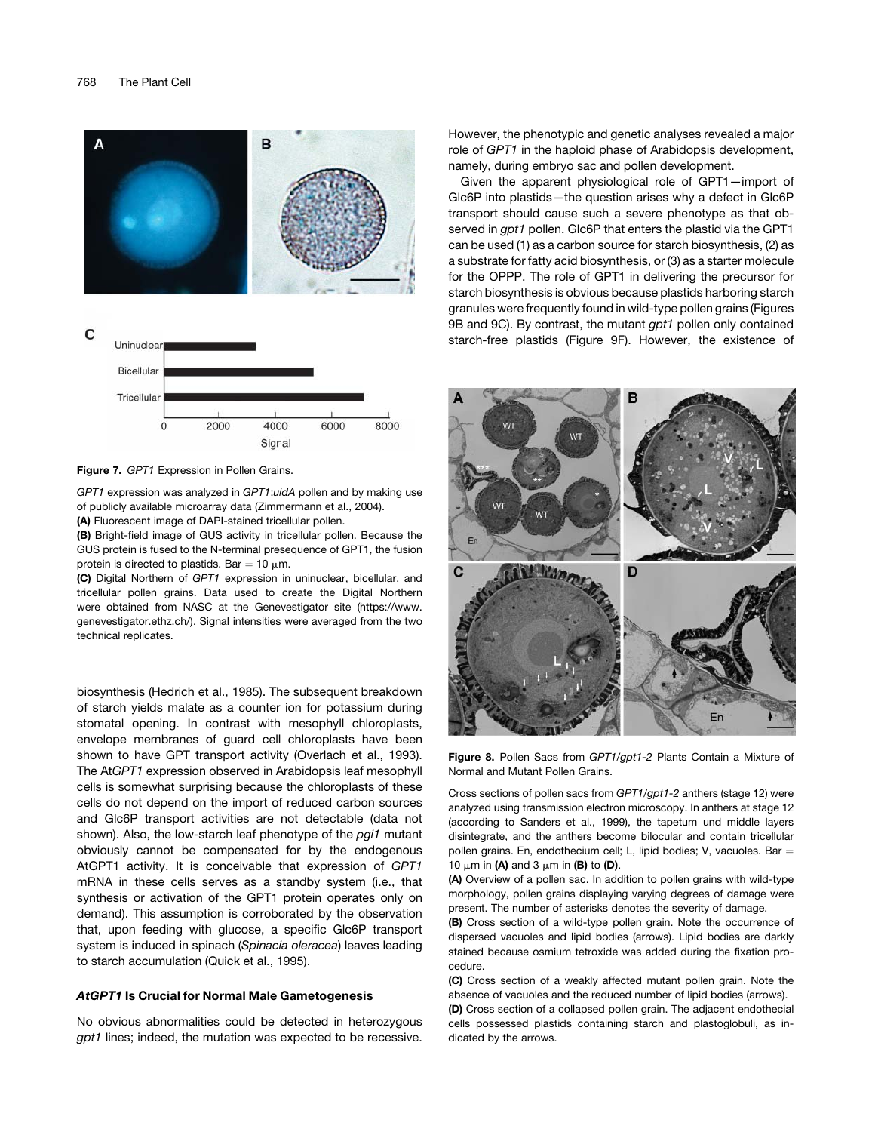

Figure 7. *GPT1* Expression in Pollen Grains.

*GPT1* expression was analyzed in *GPT1*:*uidA* pollen and by making use of publicly available microarray data (Zimmermann et al., 2004).

(A) Fluorescent image of DAPI-stained tricellular pollen.

(B) Bright-field image of GUS activity in tricellular pollen. Because the GUS protein is fused to the N-terminal presequence of GPT1, the fusion protein is directed to plastids. Bar = 10  $\mu$ m.

(C) Digital Northern of *GPT1* expression in uninuclear, bicellular, and tricellular pollen grains. Data used to create the Digital Northern were obtained from NASC at the Genevestigator site (https://www. genevestigator.ethz.ch/). Signal intensities were averaged from the two technical replicates.

biosynthesis (Hedrich et al., 1985). The subsequent breakdown of starch yields malate as a counter ion for potassium during stomatal opening. In contrast with mesophyll chloroplasts, envelope membranes of guard cell chloroplasts have been shown to have GPT transport activity (Overlach et al., 1993). The At*GPT1* expression observed in Arabidopsis leaf mesophyll cells is somewhat surprising because the chloroplasts of these cells do not depend on the import of reduced carbon sources and Glc6P transport activities are not detectable (data not shown). Also, the low-starch leaf phenotype of the *pgi1* mutant obviously cannot be compensated for by the endogenous AtGPT1 activity. It is conceivable that expression of *GPT1* mRNA in these cells serves as a standby system (i.e., that synthesis or activation of the GPT1 protein operates only on demand). This assumption is corroborated by the observation that, upon feeding with glucose, a specific Glc6P transport system is induced in spinach (*Spinacia oleracea*) leaves leading to starch accumulation (Quick et al., 1995).

### AtGPT1 Is Crucial for Normal Male Gametogenesis

No obvious abnormalities could be detected in heterozygous *gpt1* lines; indeed, the mutation was expected to be recessive. However, the phenotypic and genetic analyses revealed a major role of *GPT1* in the haploid phase of Arabidopsis development, namely, during embryo sac and pollen development.

Given the apparent physiological role of GPT1—import of Glc6P into plastids—the question arises why a defect in Glc6P transport should cause such a severe phenotype as that observed in *gpt1* pollen. Glc6P that enters the plastid via the GPT1 can be used (1) as a carbon source for starch biosynthesis, (2) as a substrate for fatty acid biosynthesis, or (3) as a starter molecule for the OPPP. The role of GPT1 in delivering the precursor for starch biosynthesis is obvious because plastids harboring starch granules were frequently found in wild-type pollen grains (Figures 9B and 9C). By contrast, the mutant *gpt1* pollen only contained starch-free plastids (Figure 9F). However, the existence of



Figure 8. Pollen Sacs from *GPT1/gpt1-2* Plants Contain a Mixture of Normal and Mutant Pollen Grains.

Cross sections of pollen sacs from *GPT1/gpt1-2* anthers (stage 12) were analyzed using transmission electron microscopy. In anthers at stage 12 (according to Sanders et al., 1999), the tapetum und middle layers disintegrate, and the anthers become bilocular and contain tricellular pollen grains. En, endothecium cell; L, lipid bodies; V, vacuoles. Bar  $=$ 10  $\mu$ m in (A) and 3  $\mu$ m in (B) to (D).

(A) Overview of a pollen sac. In addition to pollen grains with wild-type morphology, pollen grains displaying varying degrees of damage were present. The number of asterisks denotes the severity of damage.

(B) Cross section of a wild-type pollen grain. Note the occurrence of dispersed vacuoles and lipid bodies (arrows). Lipid bodies are darkly stained because osmium tetroxide was added during the fixation procedure.

(C) Cross section of a weakly affected mutant pollen grain. Note the absence of vacuoles and the reduced number of lipid bodies (arrows).

(D) Cross section of a collapsed pollen grain. The adjacent endothecial cells possessed plastids containing starch and plastoglobuli, as indicated by the arrows.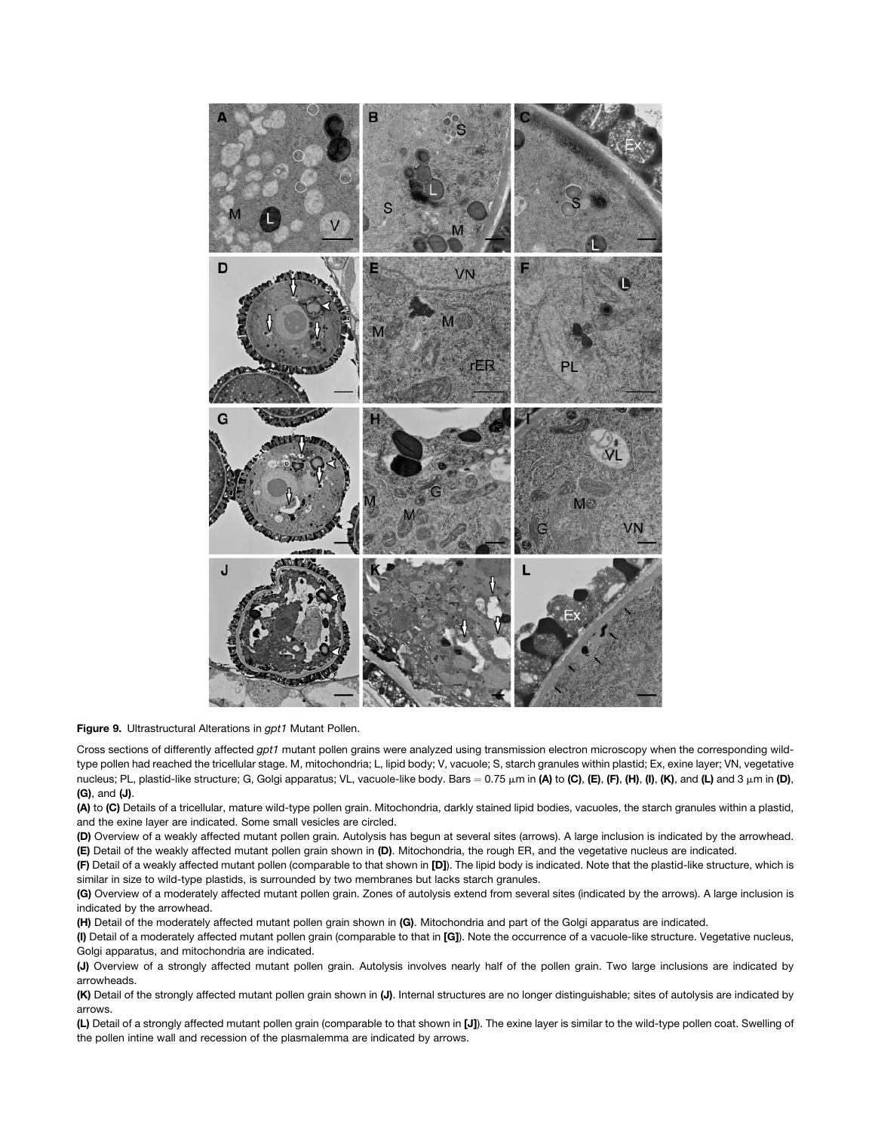

Figure 9. Ultrastructural Alterations in *gpt1* Mutant Pollen.

Cross sections of differently affected *gpt1* mutant pollen grains were analyzed using transmission electron microscopy when the corresponding wildtype pollen had reached the tricellular stage. M, mitochondria; L, lipid body; V, vacuole; S, starch granules within plastid; Ex, exine layer; VN, vegetative nucleus; PL, plastid-like structure; G, Golgi apparatus; VL, vacuole-like body. Bars =  $0.75 \mu m$  in (A) to (C), (E), (F), (H), (I), (K), and (L) and 3  $\mu m$  in (D), (G), and (J).

(A) to (C) Details of a tricellular, mature wild-type pollen grain. Mitochondria, darkly stained lipid bodies, vacuoles, the starch granules within a plastid, and the exine layer are indicated. Some small vesicles are circled.

(D) Overview of a weakly affected mutant pollen grain. Autolysis has begun at several sites (arrows). A large inclusion is indicated by the arrowhead. (E) Detail of the weakly affected mutant pollen grain shown in (D). Mitochondria, the rough ER, and the vegetative nucleus are indicated.

(F) Detail of a weakly affected mutant pollen (comparable to that shown in [D]). The lipid body is indicated. Note that the plastid-like structure, which is similar in size to wild-type plastids, is surrounded by two membranes but lacks starch granules.

(G) Overview of a moderately affected mutant pollen grain. Zones of autolysis extend from several sites (indicated by the arrows). A large inclusion is indicated by the arrowhead.

(H) Detail of the moderately affected mutant pollen grain shown in (G). Mitochondria and part of the Golgi apparatus are indicated.

(I) Detail of a moderately affected mutant pollen grain (comparable to that in [G]). Note the occurrence of a vacuole-like structure. Vegetative nucleus, Golgi apparatus, and mitochondria are indicated.

(J) Overview of a strongly affected mutant pollen grain. Autolysis involves nearly half of the pollen grain. Two large inclusions are indicated by arrowheads.

(K) Detail of the strongly affected mutant pollen grain shown in (J). Internal structures are no longer distinguishable; sites of autolysis are indicated by arrows.

(L) Detail of a strongly affected mutant pollen grain (comparable to that shown in [J]). The exine layer is similar to the wild-type pollen coat. Swelling of the pollen intine wall and recession of the plasmalemma are indicated by arrows.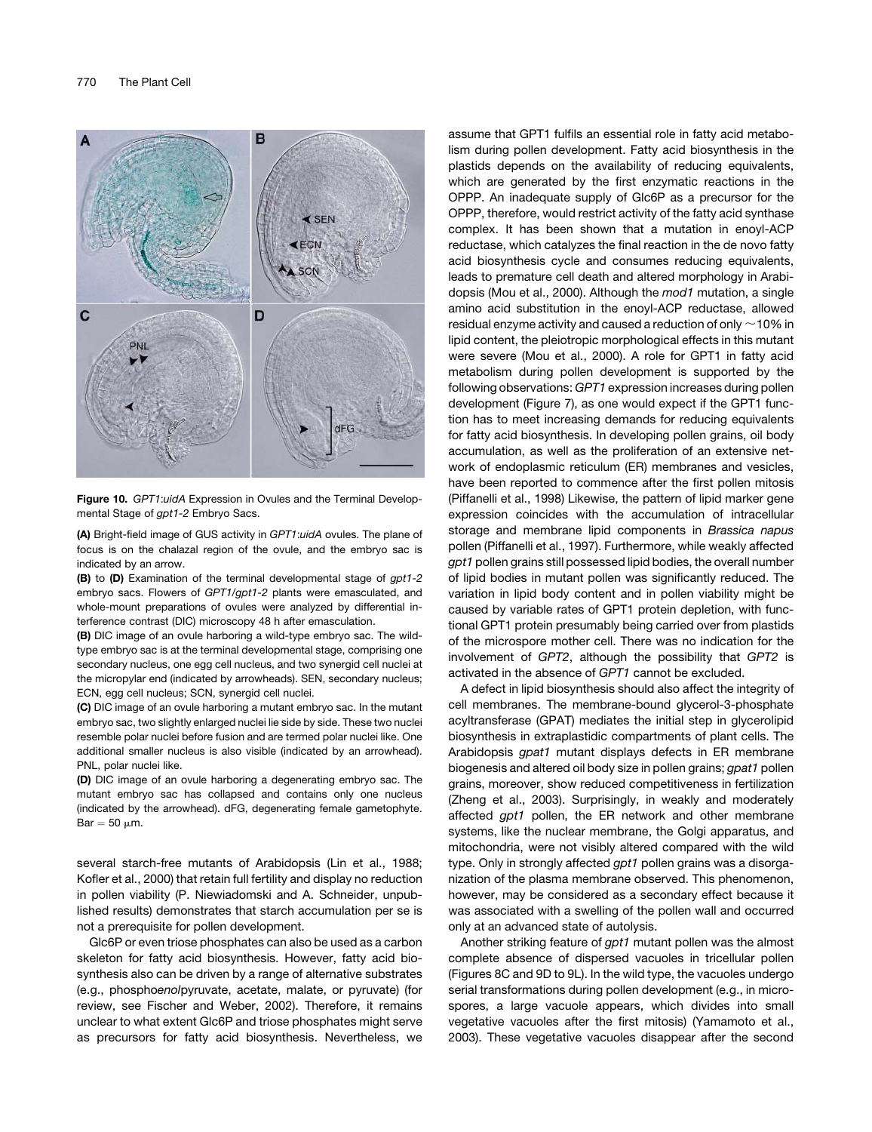

Figure 10. *GPT1*:*uidA* Expression in Ovules and the Terminal Developmental Stage of *gpt1-2* Embryo Sacs.

(A) Bright-field image of GUS activity in *GPT1*:*uidA* ovules. The plane of focus is on the chalazal region of the ovule, and the embryo sac is indicated by an arrow.

(B) to (D) Examination of the terminal developmental stage of *gpt1-2* embryo sacs. Flowers of *GPT1/gpt1-2* plants were emasculated, and whole-mount preparations of ovules were analyzed by differential interference contrast (DIC) microscopy 48 h after emasculation.

(B) DIC image of an ovule harboring a wild-type embryo sac. The wildtype embryo sac is at the terminal developmental stage, comprising one secondary nucleus, one egg cell nucleus, and two synergid cell nuclei at the micropylar end (indicated by arrowheads). SEN, secondary nucleus; ECN, egg cell nucleus; SCN, synergid cell nuclei.

(C) DIC image of an ovule harboring a mutant embryo sac. In the mutant embryo sac, two slightly enlarged nuclei lie side by side. These two nuclei resemble polar nuclei before fusion and are termed polar nuclei like. One additional smaller nucleus is also visible (indicated by an arrowhead). PNL, polar nuclei like.

(D) DIC image of an ovule harboring a degenerating embryo sac. The mutant embryo sac has collapsed and contains only one nucleus (indicated by the arrowhead). dFG, degenerating female gametophyte.  $Bar = 50$  um.

several starch-free mutants of Arabidopsis (Lin et al., 1988; Kofler et al., 2000) that retain full fertility and display no reduction in pollen viability (P. Niewiadomski and A. Schneider, unpublished results) demonstrates that starch accumulation per se is not a prerequisite for pollen development.

Glc6P or even triose phosphates can also be used as a carbon skeleton for fatty acid biosynthesis. However, fatty acid biosynthesis also can be driven by a range of alternative substrates (e.g., phospho*enol*pyruvate, acetate, malate, or pyruvate) (for review, see Fischer and Weber, 2002). Therefore, it remains unclear to what extent Glc6P and triose phosphates might serve as precursors for fatty acid biosynthesis. Nevertheless, we assume that GPT1 fulfils an essential role in fatty acid metabolism during pollen development. Fatty acid biosynthesis in the plastids depends on the availability of reducing equivalents, which are generated by the first enzymatic reactions in the OPPP. An inadequate supply of Glc6P as a precursor for the OPPP, therefore, would restrict activity of the fatty acid synthase complex. It has been shown that a mutation in enoyl-ACP reductase, which catalyzes the final reaction in the de novo fatty acid biosynthesis cycle and consumes reducing equivalents, leads to premature cell death and altered morphology in Arabidopsis (Mou et al., 2000). Although the *mod1* mutation, a single amino acid substitution in the enoyl-ACP reductase, allowed residual enzyme activity and caused a reduction of only  $\sim$  10% in lipid content, the pleiotropic morphological effects in this mutant were severe (Mou et al., 2000). A role for GPT1 in fatty acid metabolism during pollen development is supported by the following observations: *GPT1* expression increases during pollen development (Figure 7), as one would expect if the GPT1 function has to meet increasing demands for reducing equivalents for fatty acid biosynthesis. In developing pollen grains, oil body accumulation, as well as the proliferation of an extensive network of endoplasmic reticulum (ER) membranes and vesicles, have been reported to commence after the first pollen mitosis (Piffanelli et al., 1998) Likewise, the pattern of lipid marker gene expression coincides with the accumulation of intracellular storage and membrane lipid components in *Brassica napus* pollen (Piffanelli et al., 1997). Furthermore, while weakly affected *gpt1* pollen grains still possessed lipid bodies, the overall number of lipid bodies in mutant pollen was significantly reduced. The variation in lipid body content and in pollen viability might be caused by variable rates of GPT1 protein depletion, with functional GPT1 protein presumably being carried over from plastids of the microspore mother cell. There was no indication for the involvement of *GPT2*, although the possibility that *GPT2* is activated in the absence of *GPT1* cannot be excluded.

A defect in lipid biosynthesis should also affect the integrity of cell membranes. The membrane-bound glycerol-3-phosphate acyltransferase (GPAT) mediates the initial step in glycerolipid biosynthesis in extraplastidic compartments of plant cells. The Arabidopsis *gpat1* mutant displays defects in ER membrane biogenesis and altered oil body size in pollen grains; *gpat1* pollen grains, moreover, show reduced competitiveness in fertilization (Zheng et al., 2003). Surprisingly, in weakly and moderately affected *gpt1* pollen, the ER network and other membrane systems, like the nuclear membrane, the Golgi apparatus, and mitochondria, were not visibly altered compared with the wild type. Only in strongly affected *gpt1* pollen grains was a disorganization of the plasma membrane observed. This phenomenon, however, may be considered as a secondary effect because it was associated with a swelling of the pollen wall and occurred only at an advanced state of autolysis.

Another striking feature of *gpt1* mutant pollen was the almost complete absence of dispersed vacuoles in tricellular pollen (Figures 8C and 9D to 9L). In the wild type, the vacuoles undergo serial transformations during pollen development (e.g., in microspores, a large vacuole appears, which divides into small vegetative vacuoles after the first mitosis) (Yamamoto et al., 2003). These vegetative vacuoles disappear after the second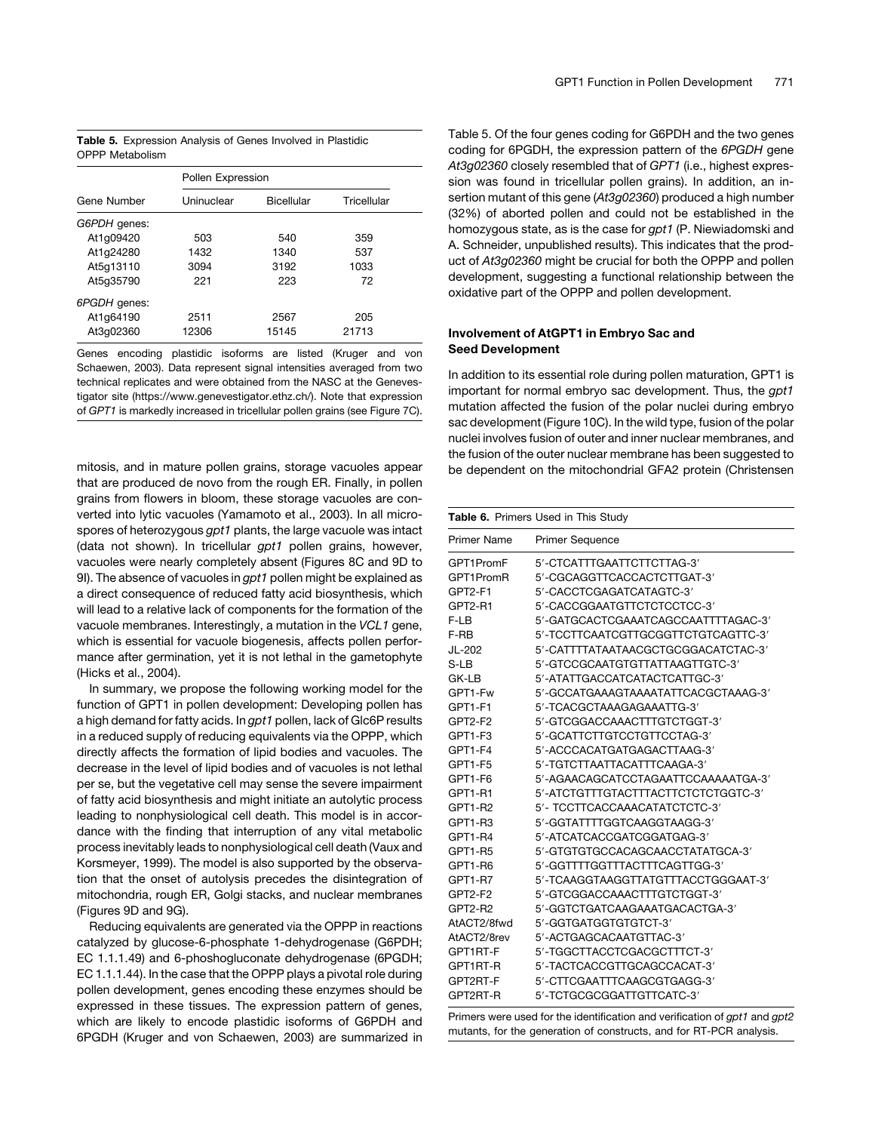Table 5. Expression Analysis of Genes Involved in Plastidic OPPP Metabolism

|              | Pollen Expression |            |             |  |
|--------------|-------------------|------------|-------------|--|
| Gene Number  | Uninuclear        | Bicellular | Tricellular |  |
| G6PDH genes: |                   |            |             |  |
| At1q09420    | 503               | 540        | 359         |  |
| At1q24280    | 1432              | 1340       | 537         |  |
| At5g13110    | 3094              | 3192       | 1033        |  |
| At5q35790    | 221               | 223        | 72          |  |
| 6PGDH genes: |                   |            |             |  |
| At1q64190    | 2511              | 2567       | 205         |  |
| At3q02360    | 12306             | 15145      | 21713       |  |

Genes encoding plastidic isoforms are listed (Kruger and von Schaewen, 2003). Data represent signal intensities averaged from two technical replicates and were obtained from the NASC at the Genevestigator site (https://www.genevestigator.ethz.ch/). Note that expression of *GPT1* is markedly increased in tricellular pollen grains (see Figure 7C).

mitosis, and in mature pollen grains, storage vacuoles appear that are produced de novo from the rough ER. Finally, in pollen grains from flowers in bloom, these storage vacuoles are converted into lytic vacuoles (Yamamoto et al., 2003). In all microspores of heterozygous *gpt1* plants, the large vacuole was intact (data not shown). In tricellular *gpt1* pollen grains, however, vacuoles were nearly completely absent (Figures 8C and 9D to 9I). The absence of vacuoles in *gpt1* pollen might be explained as a direct consequence of reduced fatty acid biosynthesis, which will lead to a relative lack of components for the formation of the vacuole membranes. Interestingly, a mutation in the *VCL1* gene, which is essential for vacuole biogenesis, affects pollen performance after germination, yet it is not lethal in the gametophyte (Hicks et al., 2004).

In summary, we propose the following working model for the function of GPT1 in pollen development: Developing pollen has a high demand for fatty acids. In *gpt1* pollen, lack of Glc6P results in a reduced supply of reducing equivalents via the OPPP, which directly affects the formation of lipid bodies and vacuoles. The decrease in the level of lipid bodies and of vacuoles is not lethal per se, but the vegetative cell may sense the severe impairment of fatty acid biosynthesis and might initiate an autolytic process leading to nonphysiological cell death. This model is in accordance with the finding that interruption of any vital metabolic process inevitably leads to nonphysiological cell death (Vaux and Korsmeyer, 1999). The model is also supported by the observation that the onset of autolysis precedes the disintegration of mitochondria, rough ER, Golgi stacks, and nuclear membranes (Figures 9D and 9G).

Reducing equivalents are generated via the OPPP in reactions catalyzed by glucose-6-phosphate 1-dehydrogenase (G6PDH; EC 1.1.1.49) and 6-phoshogluconate dehydrogenase (6PGDH; EC 1.1.1.44). In the case that the OPPP plays a pivotal role during pollen development, genes encoding these enzymes should be expressed in these tissues. The expression pattern of genes, which are likely to encode plastidic isoforms of G6PDH and 6PGDH (Kruger and von Schaewen, 2003) are summarized in

Table 5. Of the four genes coding for G6PDH and the two genes coding for 6PGDH, the expression pattern of the *6PGDH* gene *At3g02360* closely resembled that of *GPT1* (i.e., highest expression was found in tricellular pollen grains). In addition, an insertion mutant of this gene (*At3g02360*) produced a high number (32%) of aborted pollen and could not be established in the homozygous state, as is the case for *gpt1* (P. Niewiadomski and A. Schneider, unpublished results). This indicates that the product of *At3g02360* might be crucial for both the OPPP and pollen development, suggesting a functional relationship between the oxidative part of the OPPP and pollen development.

# Involvement of AtGPT1 in Embryo Sac and Seed Development

In addition to its essential role during pollen maturation, GPT1 is important for normal embryo sac development. Thus, the *gpt1* mutation affected the fusion of the polar nuclei during embryo sac development (Figure 10C). In the wild type, fusion of the polar nuclei involves fusion of outer and inner nuclear membranes, and the fusion of the outer nuclear membrane has been suggested to be dependent on the mitochondrial GFA2 protein (Christensen

|             | Table 6. Primers Used in This Study |
|-------------|-------------------------------------|
| Primer Name | <b>Primer Sequence</b>              |
| GPT1PromF   | 5'-CTCATTTGAATTCTTCTTAG-3'          |
| GPT1PromR   | 5'-CGCAGGTTCACCACTCTTGAT-3'         |
| GPT2-F1     | 5'-CACCTCGAGATCATAGTC-3'            |
| GPT2-R1     | 5'-CACCGGAATGTTCTCTCCTCC-3'         |
| F-LB        | 5'-GATGCACTCGAAATCAGCCAATTTTAGAC-3' |
| F-RB        | 5'-TCCTTCAATCGTTGCGGTTCTGTCAGTTC-3' |
| JL-202      | 5'-CATTTTATAATAACGCTGCGGACATCTAC-3' |
| $S-LB$      | 5'-GTCCGCAATGTGTTATTAAGTTGTC-3'     |
| GK-LB       | 5'-ATATTGACCATCATACTCATTGC-3'       |
| GPT1-Fw     | 5'-GCCATGAAAGTAAAATATTCACGCTAAAG-3' |
| GPT1-F1     | 5'-TCACGCTAAAGAGAAATTG-3'           |
| GPT2-F2     | 5'-GTCGGACCAAACTTTGTCTGGT-3'        |
| GPT1-F3     | 5'-GCATTCTTGTCCTGTTCCTAG-3'         |
| GPT1-F4     | 5'-ACCCACATGATGAGACTTAAG-3'         |
| GPT1-F5     | 5'-TGTCTTAATTACATTTCAAGA-3'         |
| GPT1-F6     | 5'-AGAACAGCATCCTAGAATTCCAAAAATGA-3' |
| GPT1-R1     | 5'-ATCTGTTTGTACTTTACTTCTCTCTGGTC-3' |
| GPT1-R2     | 5'- TCCTTCACCAAACATATCTCTC-3'       |
| GPT1-R3     | 5'-GGTATTTTGGTCAAGGTAAGG-3'         |
| GPT1-R4     | 5'-ATCATCACCGATCGGATGAG-3'          |
| GPT1-R5     | 5'-GTGTGTGCCACAGCAACCTATATGCA-3'    |
| GPT1-R6     | 5'-GGTTTTGGTTTACTTTCAGTTGG-3'       |
| GPT1-R7     | 5'-TCAAGGTAAGGTTATGTTTACCTGGGAAT-3' |
| GPT2-F2     | 5'-GTCGGACCAAACTTTGTCTGGT-3'        |
| GPT2-R2     | 5'-GGTCTGATCAAGAAATGACACTGA-3'      |
| AtACT2/8fwd | 5'-GGTGATGGTGTGTCT-3'               |
| AtACT2/8rev | 5'-ACTGAGCACAATGTTAC-3'             |
| GPT1RT-F    | 5'-TGGCTTACCTCGACGCTTTCT-3'         |
| GPT1RT-R    | 5'-TACTCACCGTTGCAGCCACAT-3'         |
| GPT2RT-F    | 5'-CTTCGAATTTCAAGCGTGAGG-3'         |
| GPT2RT-R    | 5'-TCTGCGCGGATTGTTCATC-3'           |

Primers were used for the identification and verification of *gpt1* and *gpt2* mutants, for the generation of constructs, and for RT-PCR analysis.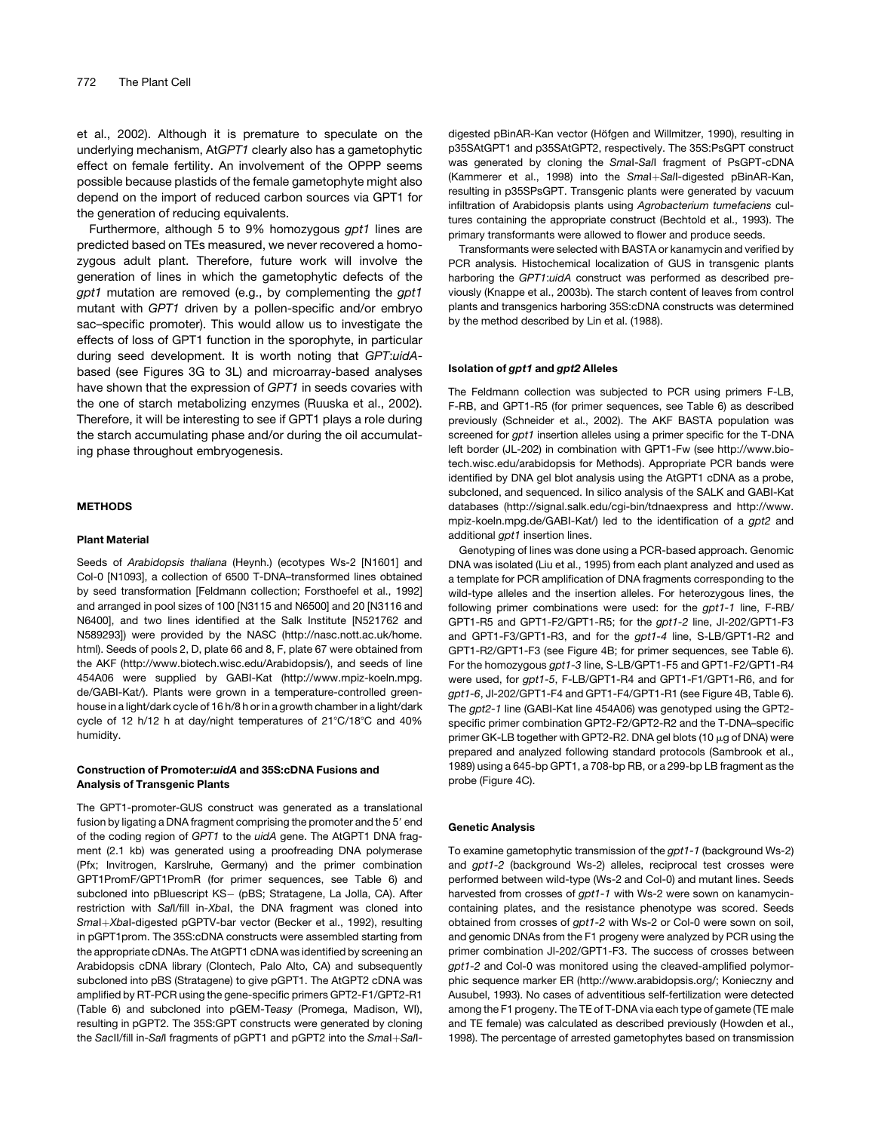et al., 2002). Although it is premature to speculate on the underlying mechanism, At*GPT1* clearly also has a gametophytic effect on female fertility. An involvement of the OPPP seems possible because plastids of the female gametophyte might also depend on the import of reduced carbon sources via GPT1 for the generation of reducing equivalents.

Furthermore, although 5 to 9% homozygous *gpt1* lines are predicted based on TEs measured, we never recovered a homozygous adult plant. Therefore, future work will involve the generation of lines in which the gametophytic defects of the *gpt1* mutation are removed (e.g., by complementing the *gpt1* mutant with *GPT1* driven by a pollen-specific and/or embryo sac–specific promoter). This would allow us to investigate the effects of loss of GPT1 function in the sporophyte, in particular during seed development. It is worth noting that *GPT*:*uidA*based (see Figures 3G to 3L) and microarray-based analyses have shown that the expression of *GPT1* in seeds covaries with the one of starch metabolizing enzymes (Ruuska et al., 2002). Therefore, it will be interesting to see if GPT1 plays a role during the starch accumulating phase and/or during the oil accumulating phase throughout embryogenesis.

### METHODS

#### Plant Material

Seeds of *Arabidopsis thaliana* (Heynh.) (ecotypes Ws-2 [N1601] and Col-0 [N1093], a collection of 6500 T-DNA–transformed lines obtained by seed transformation [Feldmann collection; Forsthoefel et al., 1992] and arranged in pool sizes of 100 [N3115 and N6500] and 20 [N3116 and N6400], and two lines identified at the Salk Institute [N521762 and N589293]) were provided by the NASC (http://nasc.nott.ac.uk/home. html). Seeds of pools 2, D, plate 66 and 8, F, plate 67 were obtained from the AKF (http://www.biotech.wisc.edu/Arabidopsis/), and seeds of line 454A06 were supplied by GABI-Kat (http://www.mpiz-koeln.mpg. de/GABI-Kat/). Plants were grown in a temperature-controlled greenhouse in a light/dark cycle of 16 h/8 h or in a growth chamber in a light/dark cycle of 12 h/12 h at day/night temperatures of 21°C/18°C and 40% humidity.

### Construction of Promoter:uidA and 35S:cDNA Fusions and Analysis of Transgenic Plants

The GPT1-promoter-GUS construct was generated as a translational fusion by ligating a DNA fragment comprising the promoter and the 5' end of the coding region of *GPT1* to the *uidA* gene. The AtGPT1 DNA fragment (2.1 kb) was generated using a proofreading DNA polymerase (Pfx; Invitrogen, Karslruhe, Germany) and the primer combination GPT1PromF/GPT1PromR (for primer sequences, see Table 6) and subcloned into pBluescript KS- (pBS; Stratagene, La Jolla, CA). After restriction with *Sal*I/fill in-*Xba*I, the DNA fragment was cloned into *SmaI+XbaI-digested pGPTV-bar vector (Becker et al., 1992), resulting* in pGPT1prom. The 35S:cDNA constructs were assembled starting from the appropriate cDNAs. The AtGPT1 cDNA was identified by screening an Arabidopsis cDNA library (Clontech, Palo Alto, CA) and subsequently subcloned into pBS (Stratagene) to give pGPT1. The AtGPT2 cDNA was amplified by RT-PCR using the gene-specific primers GPT2-F1/GPT2-R1 (Table 6) and subcloned into pGEM-T*easy* (Promega, Madison, WI), resulting in pGPT2. The 35S:GPT constructs were generated by cloning the *SacII/fill* in-*SalI* fragments of pGPT1 and pGPT2 into the *SmaI+SalI-*

digested pBinAR-Kan vector (Höfgen and Willmitzer, 1990), resulting in p35SAtGPT1 and p35SAtGPT2, respectively. The 35S:PsGPT construct was generated by cloning the *Sma*I-*Sal*I fragment of PsGPT-cDNA (Kammerer et al., 1998) into the *Smal+Sall-digested* pBinAR-Kan, resulting in p35SPsGPT. Transgenic plants were generated by vacuum infiltration of Arabidopsis plants using *Agrobacterium tumefaciens* cultures containing the appropriate construct (Bechtold et al., 1993). The primary transformants were allowed to flower and produce seeds.

Transformants were selected with BASTA or kanamycin and verified by PCR analysis. Histochemical localization of GUS in transgenic plants harboring the *GPT1*:*uidA* construct was performed as described previously (Knappe et al., 2003b). The starch content of leaves from control plants and transgenics harboring 35S:cDNA constructs was determined by the method described by Lin et al. (1988).

### Isolation of gpt1 and gpt2 Alleles

The Feldmann collection was subjected to PCR using primers F-LB, F-RB, and GPT1-R5 (for primer sequences, see Table 6) as described previously (Schneider et al., 2002). The AKF BASTA population was screened for *gpt1* insertion alleles using a primer specific for the T-DNA left border (JL-202) in combination with GPT1-Fw (see http://www.biotech.wisc.edu/arabidopsis for Methods). Appropriate PCR bands were identified by DNA gel blot analysis using the AtGPT1 cDNA as a probe, subcloned, and sequenced. In silico analysis of the SALK and GABI-Kat databases (http://signal.salk.edu/cgi-bin/tdnaexpress and http://www. mpiz-koeln.mpg.de/GABI-Kat/) led to the identification of a *gpt2* and additional *gpt1* insertion lines.

Genotyping of lines was done using a PCR-based approach. Genomic DNA was isolated (Liu et al., 1995) from each plant analyzed and used as a template for PCR amplification of DNA fragments corresponding to the wild-type alleles and the insertion alleles. For heterozygous lines, the following primer combinations were used: for the *gpt1-1* line, F-RB/ GPT1-R5 and GPT1-F2/GPT1-R5; for the *gpt1-2* line, Jl-202/GPT1-F3 and GPT1-F3/GPT1-R3, and for the *gpt1-4* line, S-LB/GPT1-R2 and GPT1-R2/GPT1-F3 (see Figure 4B; for primer sequences, see Table 6). For the homozygous *gpt1-3* line, S-LB/GPT1-F5 and GPT1-F2/GPT1-R4 were used, for *gpt1-5*, F-LB/GPT1-R4 and GPT1-F1/GPT1-R6, and for *gpt1-6*, Jl-202/GPT1-F4 and GPT1-F4/GPT1-R1 (see Figure 4B, Table 6). The *gpt2-1* line (GABI-Kat line 454A06) was genotyped using the GPT2 specific primer combination GPT2-F2/GPT2-R2 and the T-DNA–specific primer GK-LB together with GPT2-R2. DNA gel blots (10  $\mu$ g of DNA) were prepared and analyzed following standard protocols (Sambrook et al., 1989) using a 645-bp GPT1, a 708-bp RB, or a 299-bp LB fragment as the probe (Figure 4C).

#### Genetic Analysis

To examine gametophytic transmission of the *gpt1-1* (background Ws-2) and *gpt1-2* (background Ws-2) alleles, reciprocal test crosses were performed between wild-type (Ws-2 and Col-0) and mutant lines. Seeds harvested from crosses of *gpt1-1* with Ws-2 were sown on kanamycincontaining plates, and the resistance phenotype was scored. Seeds obtained from crosses of *gpt1-2* with Ws-2 or Col-0 were sown on soil, and genomic DNAs from the F1 progeny were analyzed by PCR using the primer combination Jl-202/GPT1-F3. The success of crosses between *gpt1-2* and Col-0 was monitored using the cleaved-amplified polymorphic sequence marker ER (http://www.arabidopsis.org/; Konieczny and Ausubel, 1993). No cases of adventitious self-fertilization were detected among the F1 progeny. The TE of T-DNA via each type of gamete (TE male and TE female) was calculated as described previously (Howden et al., 1998). The percentage of arrested gametophytes based on transmission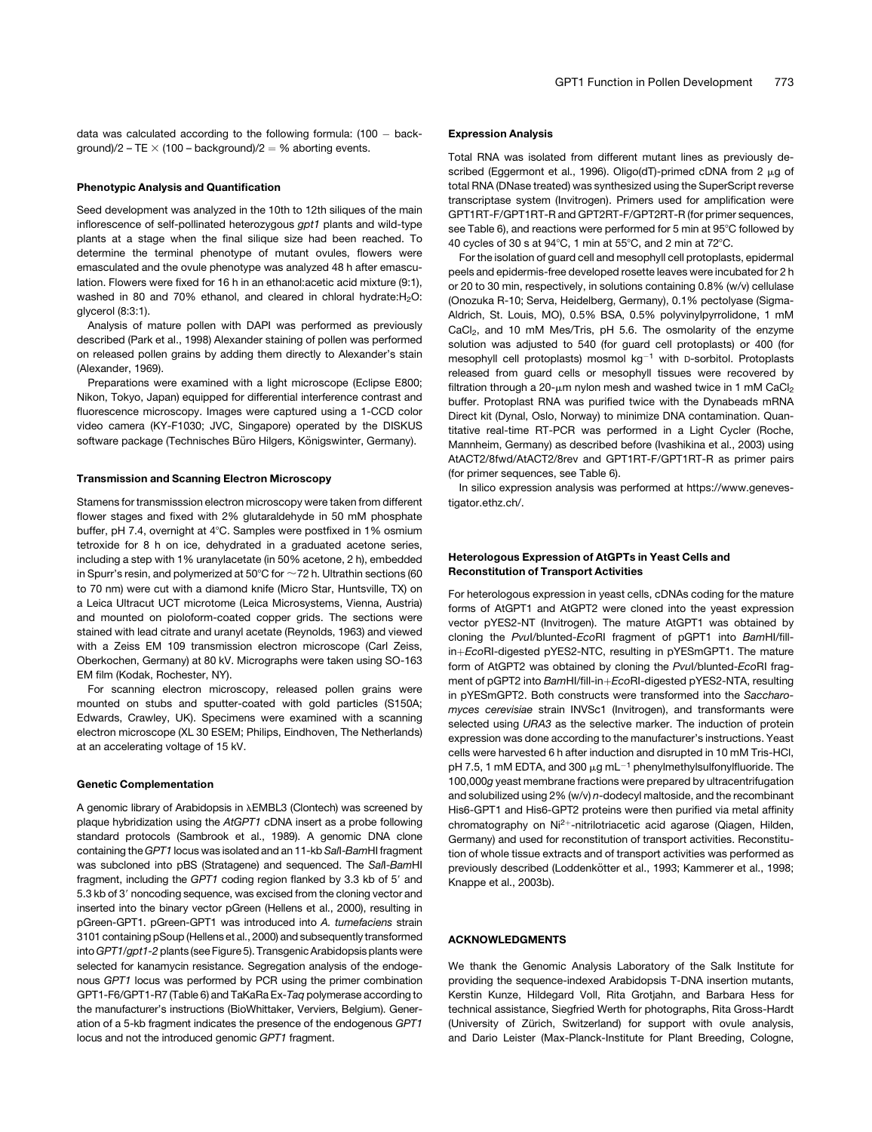data was calculated according to the following formula:  $(100 - back$ ground)/2 – TE  $\times$  (100 – background)/2 = % aborting events.

#### Phenotypic Analysis and Quantification

Seed development was analyzed in the 10th to 12th siliques of the main inflorescence of self-pollinated heterozygous *gpt1* plants and wild-type plants at a stage when the final silique size had been reached. To determine the terminal phenotype of mutant ovules, flowers were emasculated and the ovule phenotype was analyzed 48 h after emasculation. Flowers were fixed for 16 h in an ethanol:acetic acid mixture (9:1), washed in 80 and 70% ethanol, and cleared in chloral hydrate: $H_2O$ : glycerol (8:3:1).

Analysis of mature pollen with DAPI was performed as previously described (Park et al., 1998) Alexander staining of pollen was performed on released pollen grains by adding them directly to Alexander's stain (Alexander, 1969).

Preparations were examined with a light microscope (Eclipse E800; Nikon, Tokyo, Japan) equipped for differential interference contrast and fluorescence microscopy. Images were captured using a 1-CCD color video camera (KY-F1030; JVC, Singapore) operated by the DISKUS software package (Technisches Büro Hilgers, Königswinter, Germany).

### Transmission and Scanning Electron Microscopy

Stamens for transmisssion electron microscopy were taken from different flower stages and fixed with 2% glutaraldehyde in 50 mM phosphate buffer, pH 7.4, overnight at 4°C. Samples were postfixed in 1% osmium tetroxide for 8 h on ice, dehydrated in a graduated acetone series, including a step with 1% uranylacetate (in 50% acetone, 2 h), embedded in Spurr's resin, and polymerized at 50°C for  $\sim$  72 h. Ultrathin sections (60 to 70 nm) were cut with a diamond knife (Micro Star, Huntsville, TX) on a Leica Ultracut UCT microtome (Leica Microsystems, Vienna, Austria) and mounted on pioloform-coated copper grids. The sections were stained with lead citrate and uranyl acetate (Reynolds, 1963) and viewed with a Zeiss EM 109 transmission electron microscope (Carl Zeiss, Oberkochen, Germany) at 80 kV. Micrographs were taken using SO-163 EM film (Kodak, Rochester, NY).

For scanning electron microscopy, released pollen grains were mounted on stubs and sputter-coated with gold particles (S150A; Edwards, Crawley, UK). Specimens were examined with a scanning electron microscope (XL 30 ESEM; Philips, Eindhoven, The Netherlands) at an accelerating voltage of 15 kV.

#### Genetic Complementation

A genomic library of Arabidopsis in  $\lambda$ EMBL3 (Clontech) was screened by plaque hybridization using the *AtGPT1* cDNA insert as a probe following standard protocols (Sambrook et al., 1989). A genomic DNA clone containing the *GPT1* locus was isolated and an 11-kb *Sal*I-*Bam*HI fragment was subcloned into pBS (Stratagene) and sequenced. The *Sal*I-*Bam*HI fragment, including the *GPT1* coding region flanked by 3.3 kb of 5' and 5.3 kb of 3' noncoding sequence, was excised from the cloning vector and inserted into the binary vector pGreen (Hellens et al., 2000), resulting in pGreen-GPT1. pGreen-GPT1 was introduced into *A. tumefaciens* strain 3101 containing pSoup (Hellens et al., 2000) and subsequently transformed into *GPT1/gpt1-2* plants (see Figure 5). Transgenic Arabidopsis plants were selected for kanamycin resistance. Segregation analysis of the endogenous *GPT1* locus was performed by PCR using the primer combination GPT1-F6/GPT1-R7 (Table 6) and TaKaRa Ex-*Taq* polymerase according to the manufacturer's instructions (BioWhittaker, Verviers, Belgium). Generation of a 5-kb fragment indicates the presence of the endogenous *GPT1* locus and not the introduced genomic *GPT1* fragment.

#### Expression Analysis

Total RNA was isolated from different mutant lines as previously described (Eggermont et al., 1996). Oligo(dT)-primed cDNA from 2 µg of total RNA (DNase treated) was synthesized using the SuperScript reverse transcriptase system (Invitrogen). Primers used for amplification were GPT1RT-F/GPT1RT-R and GPT2RT-F/GPT2RT-R (for primer sequences, see Table 6), and reactions were performed for 5 min at 95°C followed by 40 cycles of 30 s at  $94^{\circ}$ C, 1 min at  $55^{\circ}$ C, and 2 min at  $72^{\circ}$ C.

For the isolation of guard cell and mesophyll cell protoplasts, epidermal peels and epidermis-free developed rosette leaves were incubated for 2 h or 20 to 30 min, respectively, in solutions containing 0.8% (w/v) cellulase (Onozuka R-10; Serva, Heidelberg, Germany), 0.1% pectolyase (Sigma-Aldrich, St. Louis, MO), 0.5% BSA, 0.5% polyvinylpyrrolidone, 1 mM  $CaCl<sub>2</sub>$ , and 10 mM Mes/Tris, pH 5.6. The osmolarity of the enzyme solution was adjusted to 540 (for guard cell protoplasts) or 400 (for mesophyll cell protoplasts) mosmol  $kg^{-1}$  with D-sorbitol. Protoplasts released from guard cells or mesophyll tissues were recovered by filtration through a 20- $\mu$ m nylon mesh and washed twice in 1 mM CaCl<sub>2</sub> buffer. Protoplast RNA was purified twice with the Dynabeads mRNA Direct kit (Dynal, Oslo, Norway) to minimize DNA contamination. Quantitative real-time RT-PCR was performed in a Light Cycler (Roche, Mannheim, Germany) as described before (Ivashikina et al., 2003) using AtACT2/8fwd/AtACT2/8rev and GPT1RT-F/GPT1RT-R as primer pairs (for primer sequences, see Table 6).

In silico expression analysis was performed at https://www.genevestigator.ethz.ch/.

### Heterologous Expression of AtGPTs in Yeast Cells and Reconstitution of Transport Activities

For heterologous expression in yeast cells, cDNAs coding for the mature forms of AtGPT1 and AtGPT2 were cloned into the yeast expression vector pYES2-NT (Invitrogen). The mature AtGPT1 was obtained by cloning the *Pvu*I/blunted-*Eco*RI fragment of pGPT1 into *Bam*HI/fillin+EcoRI-digested pYES2-NTC, resulting in pYESmGPT1. The mature form of AtGPT2 was obtained by cloning the *Pvu*I/blunted-*Eco*RI fragment of pGPT2 into *BamHI/fill-in+EcoRI-digested pYES2-NTA, resulting* in pYESmGPT2. Both constructs were transformed into the *Saccharomyces cerevisiae* strain INVSc1 (Invitrogen), and transformants were selected using *URA3* as the selective marker. The induction of protein expression was done according to the manufacturer's instructions. Yeast cells were harvested 6 h after induction and disrupted in 10 mM Tris-HCl, pH 7.5, 1 mM EDTA, and 300  $\mu$ g mL<sup>-1</sup> phenylmethylsulfonylfluoride. The 100,000*g* yeast membrane fractions were prepared by ultracentrifugation and solubilized using 2% (w/v) *n*-dodecyl maltoside, and the recombinant His6-GPT1 and His6-GPT2 proteins were then purified via metal affinity chromatography on Ni<sup>2+</sup>-nitrilotriacetic acid agarose (Qiagen, Hilden, Germany) and used for reconstitution of transport activities. Reconstitution of whole tissue extracts and of transport activities was performed as previously described (Loddenkötter et al., 1993; Kammerer et al., 1998; Knappe et al., 2003b).

#### ACKNOWLEDGMENTS

We thank the Genomic Analysis Laboratory of the Salk Institute for providing the sequence-indexed Arabidopsis T-DNA insertion mutants, Kerstin Kunze, Hildegard Voll, Rita Grotjahn, and Barbara Hess for technical assistance, Siegfried Werth for photographs, Rita Gross-Hardt (University of Zürich, Switzerland) for support with ovule analysis, and Dario Leister (Max-Planck-Institute for Plant Breeding, Cologne,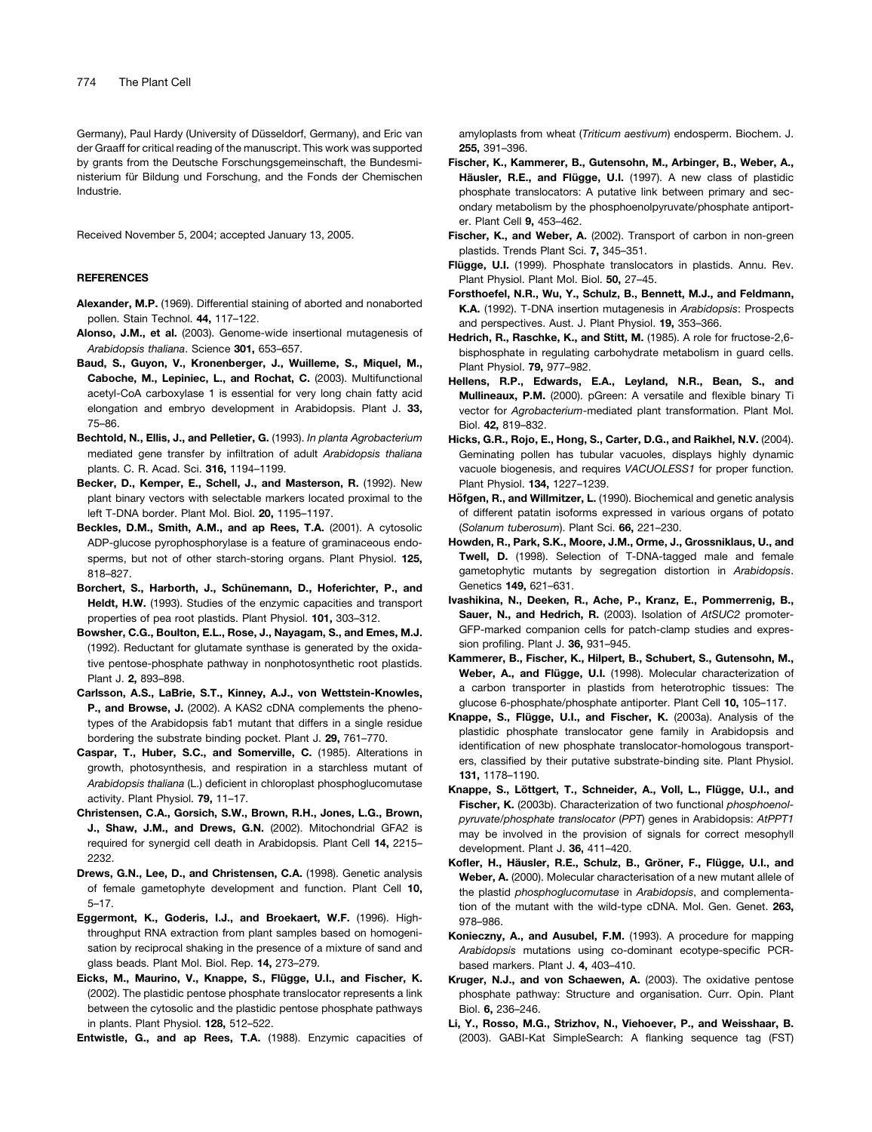Germany), Paul Hardy (University of Düsseldorf, Germany), and Eric van der Graaff for critical reading of the manuscript. This work was supported by grants from the Deutsche Forschungsgemeinschaft, the Bundesministerium für Bildung und Forschung, and the Fonds der Chemischen Industrie.

Received November 5, 2004; accepted January 13, 2005.

#### REFERENCES

- Alexander, M.P. (1969). Differential staining of aborted and nonaborted pollen. Stain Technol. 44, 117–122.
- Alonso, J.M., et al. (2003). Genome-wide insertional mutagenesis of *Arabidopsis thaliana*. Science 301, 653–657.
- Baud, S., Guyon, V., Kronenberger, J., Wuilleme, S., Miquel, M., Caboche, M., Lepiniec, L., and Rochat, C. (2003). Multifunctional acetyl-CoA carboxylase 1 is essential for very long chain fatty acid elongation and embryo development in Arabidopsis. Plant J. 33, 75–86.
- Bechtold, N., Ellis, J., and Pelletier, G. (1993). *In planta Agrobacterium* mediated gene transfer by infiltration of adult *Arabidopsis thaliana* plants. C. R. Acad. Sci. 316, 1194–1199.
- Becker, D., Kemper, E., Schell, J., and Masterson, R. (1992). New plant binary vectors with selectable markers located proximal to the left T-DNA border. Plant Mol. Biol. 20, 1195–1197.
- Beckles, D.M., Smith, A.M., and ap Rees, T.A. (2001). A cytosolic ADP-glucose pyrophosphorylase is a feature of graminaceous endosperms, but not of other starch-storing organs. Plant Physiol. 125, 818–827.
- Borchert, S., Harborth, J., Schünemann, D., Hoferichter, P., and Heldt, H.W. (1993). Studies of the enzymic capacities and transport properties of pea root plastids. Plant Physiol. 101, 303–312.
- Bowsher, C.G., Boulton, E.L., Rose, J., Nayagam, S., and Emes, M.J. (1992). Reductant for glutamate synthase is generated by the oxidative pentose-phosphate pathway in nonphotosynthetic root plastids. Plant J. 2, 893–898.
- Carlsson, A.S., LaBrie, S.T., Kinney, A.J., von Wettstein-Knowles, P., and Browse, J. (2002). A KAS2 cDNA complements the phenotypes of the Arabidopsis fab1 mutant that differs in a single residue bordering the substrate binding pocket. Plant J. 29, 761–770.
- Caspar, T., Huber, S.C., and Somerville, C. (1985). Alterations in growth, photosynthesis, and respiration in a starchless mutant of *Arabidopsis thaliana* (L.) deficient in chloroplast phosphoglucomutase activity. Plant Physiol. 79, 11–17.
- Christensen, C.A., Gorsich, S.W., Brown, R.H., Jones, L.G., Brown, J., Shaw, J.M., and Drews, G.N. (2002). Mitochondrial GFA2 is required for synergid cell death in Arabidopsis. Plant Cell 14, 2215– 2232.
- Drews, G.N., Lee, D., and Christensen, C.A. (1998). Genetic analysis of female gametophyte development and function. Plant Cell 10, 5–17.
- Eggermont, K., Goderis, I.J., and Broekaert, W.F. (1996). Highthroughput RNA extraction from plant samples based on homogenisation by reciprocal shaking in the presence of a mixture of sand and glass beads. Plant Mol. Biol. Rep. 14, 273–279.
- Eicks, M., Maurino, V., Knappe, S., Flügge, U.I., and Fischer, K. (2002). The plastidic pentose phosphate translocator represents a link between the cytosolic and the plastidic pentose phosphate pathways in plants. Plant Physiol. 128, 512–522.

Entwistle, G., and ap Rees, T.A. (1988). Enzymic capacities of

amyloplasts from wheat (*Triticum aestivum*) endosperm. Biochem. J. 255, 391–396.

- Fischer, K., Kammerer, B., Gutensohn, M., Arbinger, B., Weber, A., Häusler, R.E., and Flügge, U.I. (1997). A new class of plastidic phosphate translocators: A putative link between primary and secondary metabolism by the phosphoenolpyruvate/phosphate antiporter. Plant Cell 9, 453–462.
- Fischer, K., and Weber, A. (2002). Transport of carbon in non-green plastids. Trends Plant Sci. 7, 345–351.
- Flügge, U.I. (1999). Phosphate translocators in plastids. Annu. Rev. Plant Physiol. Plant Mol. Biol. 50, 27–45.
- Forsthoefel, N.R., Wu, Y., Schulz, B., Bennett, M.J., and Feldmann, K.A. (1992). T-DNA insertion mutagenesis in *Arabidopsis*: Prospects and perspectives. Aust. J. Plant Physiol. 19, 353–366.
- Hedrich, R., Raschke, K., and Stitt, M. (1985). A role for fructose-2,6 bisphosphate in regulating carbohydrate metabolism in guard cells. Plant Physiol. 79, 977–982.
- Hellens, R.P., Edwards, E.A., Leyland, N.R., Bean, S., and Mullineaux, P.M. (2000). pGreen: A versatile and flexible binary Ti vector for *Agrobacterium*-mediated plant transformation. Plant Mol. Biol. 42, 819–832.
- Hicks, G.R., Rojo, E., Hong, S., Carter, D.G., and Raikhel, N.V. (2004). Geminating pollen has tubular vacuoles, displays highly dynamic vacuole biogenesis, and requires *VACUOLESS1* for proper function. Plant Physiol. 134, 1227–1239.
- Höfgen, R., and Willmitzer, L. (1990). Biochemical and genetic analysis of different patatin isoforms expressed in various organs of potato (*Solanum tuberosum*). Plant Sci. 66, 221–230.
- Howden, R., Park, S.K., Moore, J.M., Orme, J., Grossniklaus, U., and Twell, D. (1998). Selection of T-DNA-tagged male and female gametophytic mutants by segregation distortion in *Arabidopsis*. Genetics 149, 621–631.
- Ivashikina, N., Deeken, R., Ache, P., Kranz, E., Pommerrenig, B., Sauer, N., and Hedrich, R. (2003). Isolation of *AtSUC2* promoter-GFP-marked companion cells for patch-clamp studies and expression profiling. Plant J. 36, 931–945.
- Kammerer, B., Fischer, K., Hilpert, B., Schubert, S., Gutensohn, M., Weber, A., and Flügge, U.I. (1998). Molecular characterization of a carbon transporter in plastids from heterotrophic tissues: The glucose 6-phosphate/phosphate antiporter. Plant Cell 10, 105–117.
- Knappe, S., Flügge, U.I., and Fischer, K. (2003a). Analysis of the plastidic phosphate translocator gene family in Arabidopsis and identification of new phosphate translocator-homologous transporters, classified by their putative substrate-binding site. Plant Physiol. 131, 1178–1190.
- Knappe, S., Löttgert, T., Schneider, A., Voll, L., Flügge, U.I., and Fischer, K. (2003b). Characterization of two functional *phosphoenolpyruvate/phosphate translocator* (*PPT*) genes in Arabidopsis: *AtPPT1* may be involved in the provision of signals for correct mesophyll development. Plant J. 36, 411–420.
- Kofler, H., Häusler, R.E., Schulz, B., Gröner, F., Flügge, U.I., and Weber, A. (2000). Molecular characterisation of a new mutant allele of the plastid *phosphoglucomutase* in *Arabidopsis*, and complementation of the mutant with the wild-type cDNA. Mol. Gen. Genet. 263, 978–986.
- Konieczny, A., and Ausubel, F.M. (1993). A procedure for mapping *Arabidopsis* mutations using co-dominant ecotype-specific PCRbased markers. Plant J. 4, 403–410.
- Kruger, N.J., and von Schaewen, A. (2003). The oxidative pentose phosphate pathway: Structure and organisation. Curr. Opin. Plant Biol. 6, 236–246.
- Li, Y., Rosso, M.G., Strizhov, N., Viehoever, P., and Weisshaar, B. (2003). GABI-Kat SimpleSearch: A flanking sequence tag (FST)